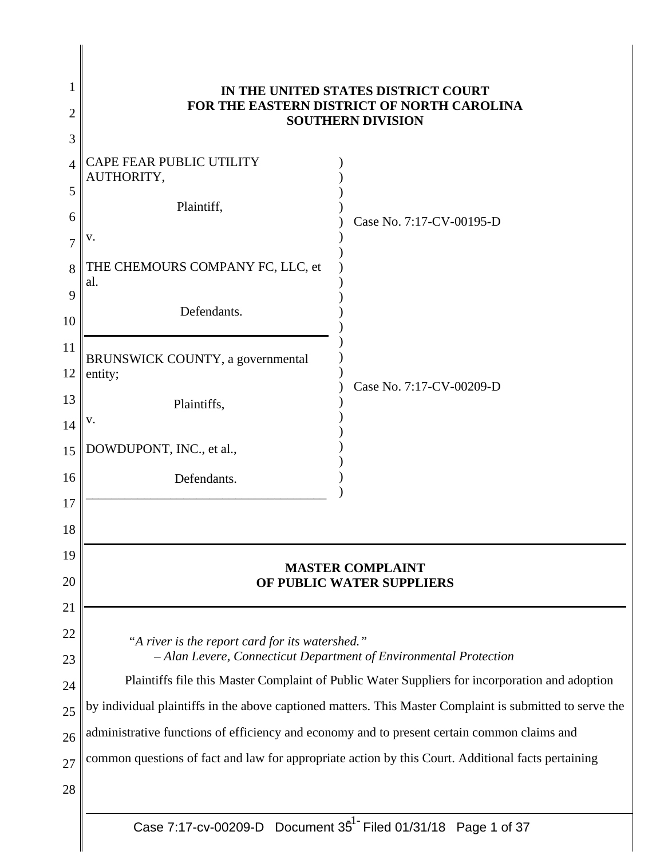| 1<br>2<br>3                            | IN THE UNITED STATES DISTRICT COURT<br>FOR THE EASTERN DISTRICT OF NORTH CAROLINA<br><b>SOUTHERN DIVISION</b>                                                                                                                                                                                                                                                                                                                                                                                                                           |                          |  |
|----------------------------------------|-----------------------------------------------------------------------------------------------------------------------------------------------------------------------------------------------------------------------------------------------------------------------------------------------------------------------------------------------------------------------------------------------------------------------------------------------------------------------------------------------------------------------------------------|--------------------------|--|
| $\overline{A}$<br>5<br>6               | CAPE FEAR PUBLIC UTILITY<br>AUTHORITY,<br>Plaintiff,                                                                                                                                                                                                                                                                                                                                                                                                                                                                                    | Case No. 7:17-CV-00195-D |  |
| 7<br>8<br>9<br>10                      | v.<br>THE CHEMOURS COMPANY FC, LLC, et<br>al.<br>Defendants.                                                                                                                                                                                                                                                                                                                                                                                                                                                                            |                          |  |
| 11<br>12<br>13<br>14                   | BRUNSWICK COUNTY, a governmental<br>entity;<br>Plaintiffs,<br>v.                                                                                                                                                                                                                                                                                                                                                                                                                                                                        | Case No. 7:17-CV-00209-D |  |
| 15<br>16<br>17<br>18                   | DOWDUPONT, INC., et al.,<br>Defendants.                                                                                                                                                                                                                                                                                                                                                                                                                                                                                                 |                          |  |
| 19<br>20<br>21                         | <b>MASTER COMPLAINT</b><br>OF PUBLIC WATER SUPPLIERS                                                                                                                                                                                                                                                                                                                                                                                                                                                                                    |                          |  |
| 22<br>23<br>24<br>25<br>26<br>27<br>28 | "A river is the report card for its watershed."<br>- Alan Levere, Connecticut Department of Environmental Protection<br>Plaintiffs file this Master Complaint of Public Water Suppliers for incorporation and adoption<br>by individual plaintiffs in the above captioned matters. This Master Complaint is submitted to serve the<br>administrative functions of efficiency and economy and to present certain common claims and<br>common questions of fact and law for appropriate action by this Court. Additional facts pertaining |                          |  |
|                                        |                                                                                                                                                                                                                                                                                                                                                                                                                                                                                                                                         |                          |  |

 $\parallel$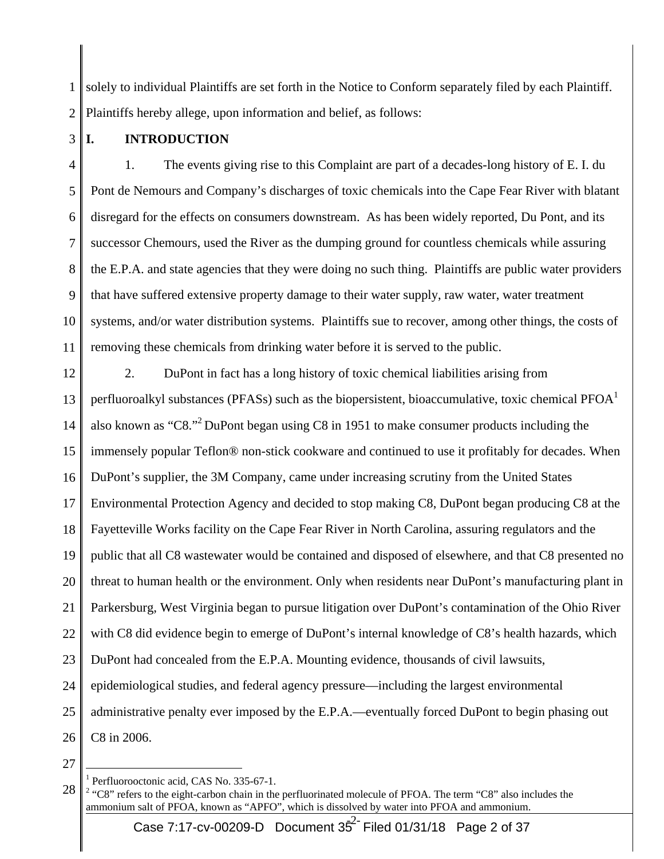1 2 solely to individual Plaintiffs are set forth in the Notice to Conform separately filed by each Plaintiff. Plaintiffs hereby allege, upon information and belief, as follows:

3 **I. INTRODUCTION** 

4 5 6 7 8 9 10 11 1. The events giving rise to this Complaint are part of a decades-long history of E. I. du Pont de Nemours and Company's discharges of toxic chemicals into the Cape Fear River with blatant disregard for the effects on consumers downstream. As has been widely reported, Du Pont, and its successor Chemours, used the River as the dumping ground for countless chemicals while assuring the E.P.A. and state agencies that they were doing no such thing. Plaintiffs are public water providers that have suffered extensive property damage to their water supply, raw water, water treatment systems, and/or water distribution systems. Plaintiffs sue to recover, among other things, the costs of removing these chemicals from drinking water before it is served to the public.

12 13 14 15 16 17 18 19 20 21 22 23 24 25 26 2. DuPont in fact has a long history of toxic chemical liabilities arising from perfluoroalkyl substances (PFASs) such as the biopersistent, bioaccumulative, toxic chemical  $PFOA<sup>1</sup>$ also known as "C8."2 DuPont began using C8 in 1951 to make consumer products including the immensely popular Teflon® non-stick cookware and continued to use it profitably for decades. When DuPont's supplier, the 3M Company, came under increasing scrutiny from the United States Environmental Protection Agency and decided to stop making C8, DuPont began producing C8 at the Fayetteville Works facility on the Cape Fear River in North Carolina, assuring regulators and the public that all C8 wastewater would be contained and disposed of elsewhere, and that C8 presented no threat to human health or the environment. Only when residents near DuPont's manufacturing plant in Parkersburg, West Virginia began to pursue litigation over DuPont's contamination of the Ohio River with C8 did evidence begin to emerge of DuPont's internal knowledge of C8's health hazards, which DuPont had concealed from the E.P.A. Mounting evidence, thousands of civil lawsuits, epidemiological studies, and federal agency pressure—including the largest environmental administrative penalty ever imposed by the E.P.A.—eventually forced DuPont to begin phasing out C8 in 2006.

27

<sup>1</sup> Perfluorooctonic acid, CAS No. 335-67-1.

<sup>28</sup>   $2 \text{ "C8" refers to the eight-carbon chain in the perfluorinated molecule of PFOA. The term "C8" also includes the$ ammonium salt of PFOA, known as "APFO", which is dissolved by water into PFOA and ammonium.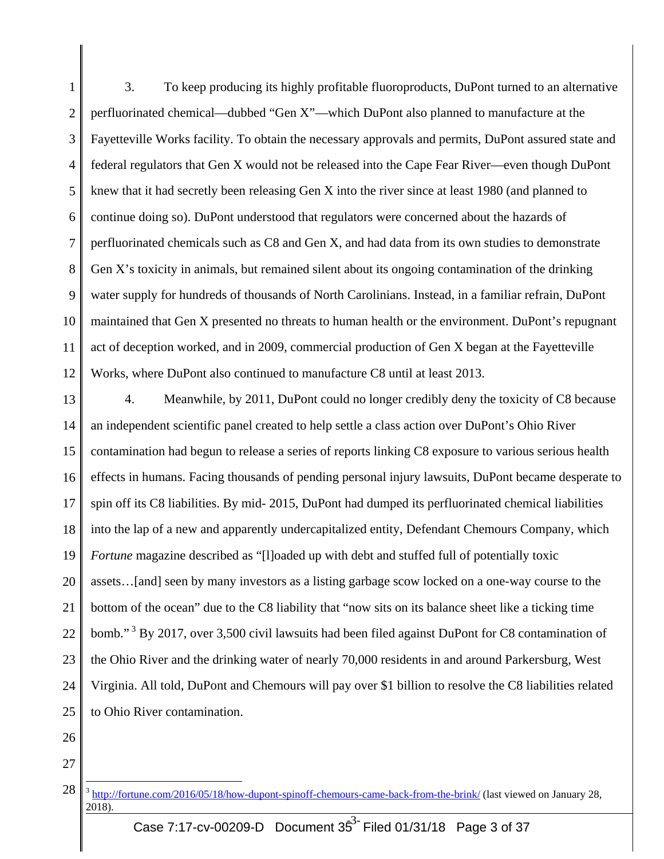1 2 3 4 5 6 7 8 9 10 11 12 3. To keep producing its highly profitable fluoroproducts, DuPont turned to an alternative perfluorinated chemical—dubbed "Gen X"—which DuPont also planned to manufacture at the Fayetteville Works facility. To obtain the necessary approvals and permits, DuPont assured state and federal regulators that Gen X would not be released into the Cape Fear River—even though DuPont knew that it had secretly been releasing Gen X into the river since at least 1980 (and planned to continue doing so). DuPont understood that regulators were concerned about the hazards of perfluorinated chemicals such as C8 and Gen X, and had data from its own studies to demonstrate Gen X's toxicity in animals, but remained silent about its ongoing contamination of the drinking water supply for hundreds of thousands of North Carolinians. Instead, in a familiar refrain, DuPont maintained that Gen X presented no threats to human health or the environment. DuPont's repugnant act of deception worked, and in 2009, commercial production of Gen X began at the Fayetteville Works, where DuPont also continued to manufacture C8 until at least 2013.

13 14 15 16 17 18 19 20 21 22 23 24 25 4. Meanwhile, by 2011, DuPont could no longer credibly deny the toxicity of C8 because an independent scientific panel created to help settle a class action over DuPont's Ohio River contamination had begun to release a series of reports linking C8 exposure to various serious health effects in humans. Facing thousands of pending personal injury lawsuits, DuPont became desperate to spin off its C8 liabilities. By mid- 2015, DuPont had dumped its perfluorinated chemical liabilities into the lap of a new and apparently undercapitalized entity, Defendant Chemours Company, which *Fortune* magazine described as "[l]oaded up with debt and stuffed full of potentially toxic assets…[and] seen by many investors as a listing garbage scow locked on a one-way course to the bottom of the ocean" due to the C8 liability that "now sits on its balance sheet like a ticking time bomb."<sup>3</sup> By 2017, over 3,500 civil lawsuits had been filed against DuPont for C8 contamination of the Ohio River and the drinking water of nearly 70,000 residents in and around Parkersburg, West Virginia. All told, DuPont and Chemours will pay over \$1 billion to resolve the C8 liabilities related to Ohio River contamination.

- 26
- 27

<sup>28</sup>  <sup>3</sup> http://fortune.com/2016/05/18/how-dupont-spinoff-chemours-came-back-from-the-brink/ (last viewed on January 28, 2018).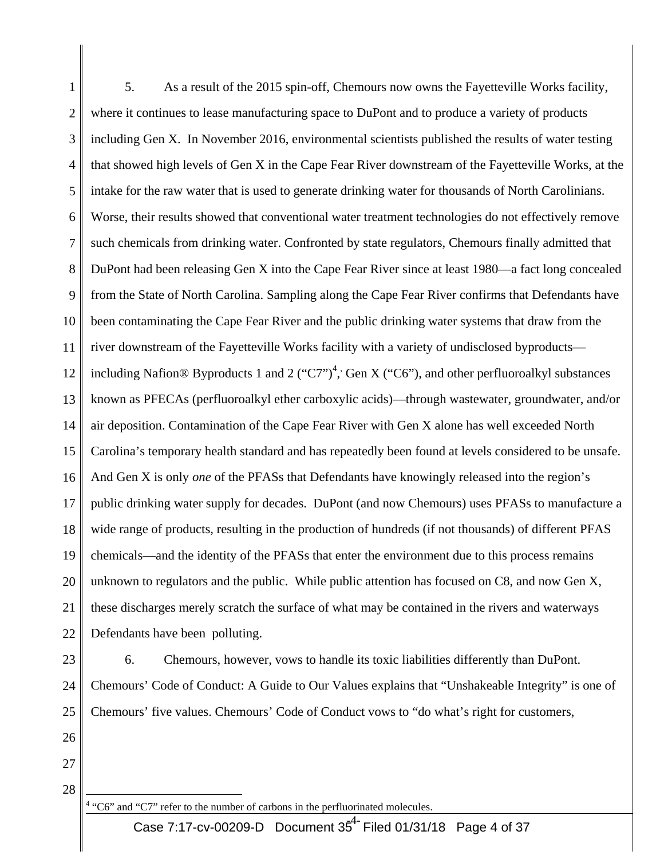1 2 3 4 5 6 7 8 9 10 11 12 13 14 15 16 17 18 19 20 21 22 5. As a result of the 2015 spin-off, Chemours now owns the Fayetteville Works facility, where it continues to lease manufacturing space to DuPont and to produce a variety of products including Gen X. In November 2016, environmental scientists published the results of water testing that showed high levels of Gen X in the Cape Fear River downstream of the Fayetteville Works, at the intake for the raw water that is used to generate drinking water for thousands of North Carolinians. Worse, their results showed that conventional water treatment technologies do not effectively remove such chemicals from drinking water. Confronted by state regulators, Chemours finally admitted that DuPont had been releasing Gen X into the Cape Fear River since at least 1980—a fact long concealed from the State of North Carolina. Sampling along the Cape Fear River confirms that Defendants have been contaminating the Cape Fear River and the public drinking water systems that draw from the river downstream of the Fayetteville Works facility with a variety of undisclosed byproducts including Nafion® Byproducts 1 and 2 ("C7")<sup>4</sup>, Gen X ("C6"), and other perfluoroalkyl substances known as PFECAs (perfluoroalkyl ether carboxylic acids)—through wastewater, groundwater, and/or air deposition. Contamination of the Cape Fear River with Gen X alone has well exceeded North Carolina's temporary health standard and has repeatedly been found at levels considered to be unsafe. And Gen X is only *one* of the PFASs that Defendants have knowingly released into the region's public drinking water supply for decades. DuPont (and now Chemours) uses PFASs to manufacture a wide range of products, resulting in the production of hundreds (if not thousands) of different PFAS chemicals—and the identity of the PFASs that enter the environment due to this process remains unknown to regulators and the public. While public attention has focused on C8, and now Gen X, these discharges merely scratch the surface of what may be contained in the rivers and waterways Defendants have been polluting.

23

24

25

6. Chemours, however, vows to handle its toxic liabilities differently than DuPont. Chemours' Code of Conduct: A Guide to Our Values explains that "Unshakeable Integrity" is one of

- 26
- 27

28

 $\overline{a}$ <sup>4</sup> "C6" and "C7" refer to the number of carbons in the perfluorinated molecules.

Chemours' five values. Chemours' Code of Conduct vows to "do what's right for customers,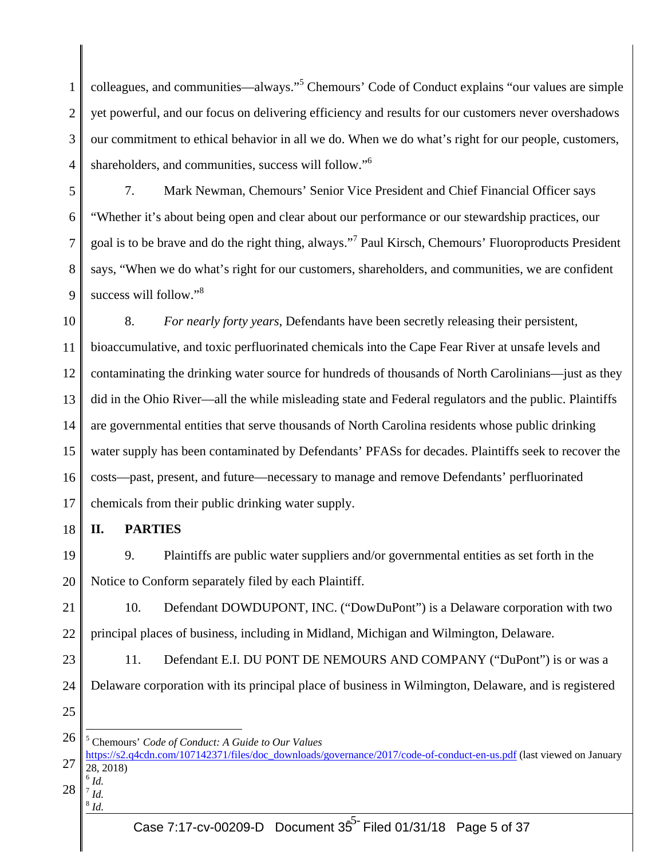1 2 3 4 colleagues, and communities—always."<sup>5</sup> Chemours' Code of Conduct explains "our values are simple yet powerful, and our focus on delivering efficiency and results for our customers never overshadows our commitment to ethical behavior in all we do. When we do what's right for our people, customers, shareholders, and communities, success will follow."<sup>6</sup>

5 6 7 8 9 7. Mark Newman, Chemours' Senior Vice President and Chief Financial Officer says "Whether it's about being open and clear about our performance or our stewardship practices, our goal is to be brave and do the right thing, always."<sup>7</sup> Paul Kirsch, Chemours' Fluoroproducts President says, "When we do what's right for our customers, shareholders, and communities, we are confident success will follow."<sup>8</sup>

10 11 12 13 14 15 16 17 8. *For nearly forty years*, Defendants have been secretly releasing their persistent, bioaccumulative, and toxic perfluorinated chemicals into the Cape Fear River at unsafe levels and contaminating the drinking water source for hundreds of thousands of North Carolinians—just as they did in the Ohio River—all the while misleading state and Federal regulators and the public. Plaintiffs are governmental entities that serve thousands of North Carolina residents whose public drinking water supply has been contaminated by Defendants' PFASs for decades. Plaintiffs seek to recover the costs—past, present, and future—necessary to manage and remove Defendants' perfluorinated chemicals from their public drinking water supply.

18 **II. PARTIES** 

19 20 9. Plaintiffs are public water suppliers and/or governmental entities as set forth in the Notice to Conform separately filed by each Plaintiff.

21 22 10. Defendant DOWDUPONT, INC. ("DowDuPont") is a Delaware corporation with two principal places of business, including in Midland, Michigan and Wilmington, Delaware.

- 23 11. Defendant E.I. DU PONT DE NEMOURS AND COMPANY ("DuPont") is or was a
- 24 Delaware corporation with its principal place of business in Wilmington, Delaware, and is registered
- 25

26 5 Chemours' *Code of Conduct: A Guide to Our Values*

28 <sup>6</sup> *Id.*   $^7$  *Id.* 

 $\overline{a}$ 

 $^8$  *Id.* 

<sup>27</sup>  https://s2.q4cdn.com/107142371/files/doc\_downloads/governance/2017/code-of-conduct-en-us.pdf (last viewed on January 28, 2018)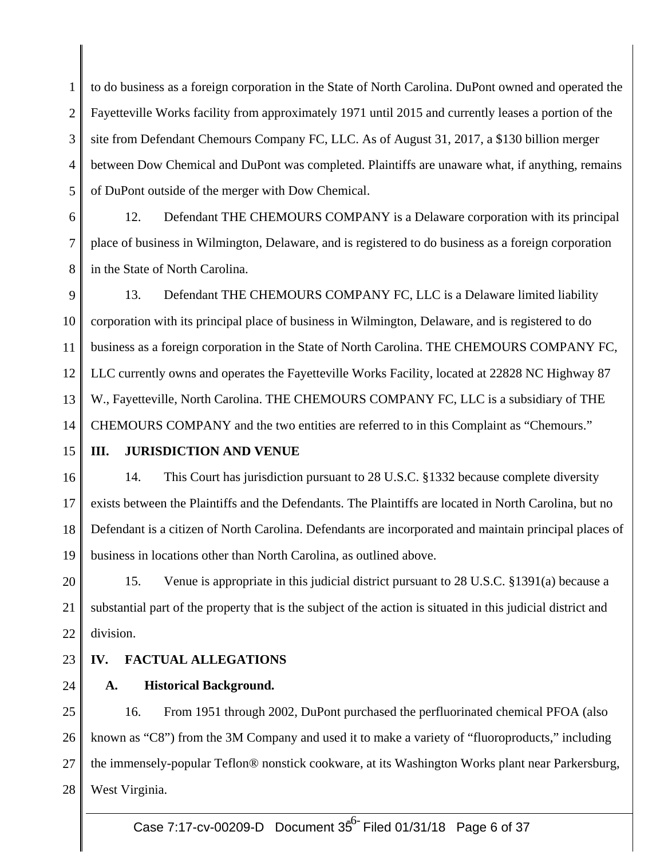1 2 3 4 5 to do business as a foreign corporation in the State of North Carolina. DuPont owned and operated the Fayetteville Works facility from approximately 1971 until 2015 and currently leases a portion of the site from Defendant Chemours Company FC, LLC. As of August 31, 2017, a \$130 billion merger between Dow Chemical and DuPont was completed. Plaintiffs are unaware what, if anything, remains of DuPont outside of the merger with Dow Chemical.

6 7 8 12. Defendant THE CHEMOURS COMPANY is a Delaware corporation with its principal place of business in Wilmington, Delaware, and is registered to do business as a foreign corporation in the State of North Carolina.

9 10 11 12 13 14 13. Defendant THE CHEMOURS COMPANY FC, LLC is a Delaware limited liability corporation with its principal place of business in Wilmington, Delaware, and is registered to do business as a foreign corporation in the State of North Carolina. THE CHEMOURS COMPANY FC, LLC currently owns and operates the Fayetteville Works Facility, located at 22828 NC Highway 87 W., Fayetteville, North Carolina. THE CHEMOURS COMPANY FC, LLC is a subsidiary of THE CHEMOURS COMPANY and the two entities are referred to in this Complaint as "Chemours."

#### 15 **III. JURISDICTION AND VENUE**

16 17 18 19 14. This Court has jurisdiction pursuant to 28 U.S.C. §1332 because complete diversity exists between the Plaintiffs and the Defendants. The Plaintiffs are located in North Carolina, but no Defendant is a citizen of North Carolina. Defendants are incorporated and maintain principal places of business in locations other than North Carolina, as outlined above.

20 21 22 15. Venue is appropriate in this judicial district pursuant to 28 U.S.C. §1391(a) because a substantial part of the property that is the subject of the action is situated in this judicial district and division.

#### 23 **IV. FACTUAL ALLEGATIONS**

24 **A. Historical Background.** 

25 26 27 28 16. From 1951 through 2002, DuPont purchased the perfluorinated chemical PFOA (also known as "C8") from the 3M Company and used it to make a variety of "fluoroproducts," including the immensely-popular Teflon® nonstick cookware, at its Washington Works plant near Parkersburg, West Virginia.

Case 7:17-cv-00209-D Document 35<sup>6-</sup> Filed 01/31/18 Page 6 of 37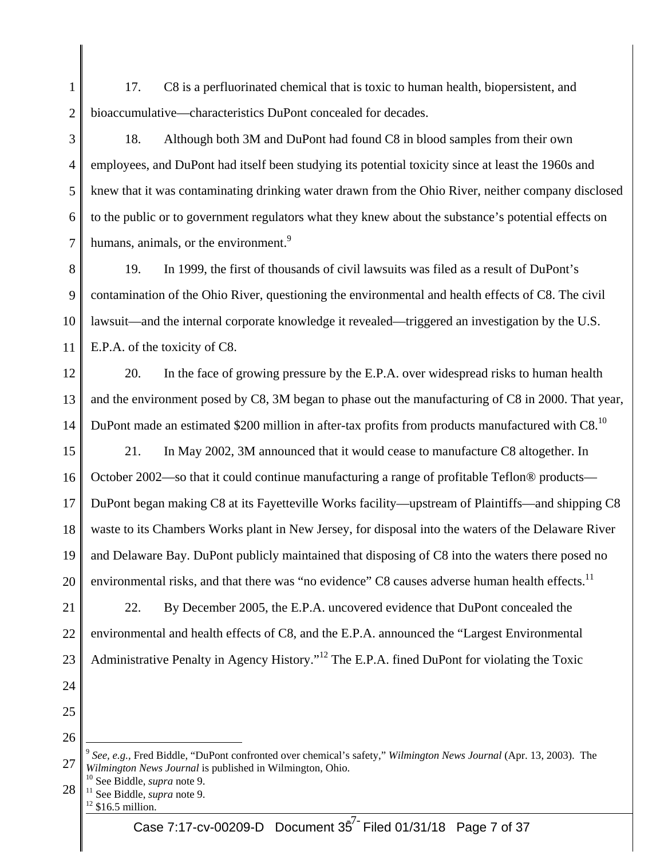1 2 17. C8 is a perfluorinated chemical that is toxic to human health, biopersistent, and bioaccumulative—characteristics DuPont concealed for decades.

3 4 5 6 7 18. Although both 3M and DuPont had found C8 in blood samples from their own employees, and DuPont had itself been studying its potential toxicity since at least the 1960s and knew that it was contaminating drinking water drawn from the Ohio River, neither company disclosed to the public or to government regulators what they knew about the substance's potential effects on humans, animals, or the environment.<sup>9</sup>

8 9 10 11 19. In 1999, the first of thousands of civil lawsuits was filed as a result of DuPont's contamination of the Ohio River, questioning the environmental and health effects of C8. The civil lawsuit—and the internal corporate knowledge it revealed—triggered an investigation by the U.S. E.P.A. of the toxicity of C8.

12 13 14 20. In the face of growing pressure by the E.P.A. over widespread risks to human health and the environment posed by C8, 3M began to phase out the manufacturing of C8 in 2000. That year, DuPont made an estimated \$200 million in after-tax profits from products manufactured with  $\text{C8}.10$ 

15 16 17 18 19 20 21. In May 2002, 3M announced that it would cease to manufacture C8 altogether. In October 2002—so that it could continue manufacturing a range of profitable Teflon® products— DuPont began making C8 at its Fayetteville Works facility—upstream of Plaintiffs—and shipping C8 waste to its Chambers Works plant in New Jersey, for disposal into the waters of the Delaware River and Delaware Bay. DuPont publicly maintained that disposing of C8 into the waters there posed no environmental risks, and that there was "no evidence" C8 causes adverse human health effects.<sup>11</sup>

21 22 23 22. By December 2005, the E.P.A. uncovered evidence that DuPont concealed the environmental and health effects of C8, and the E.P.A. announced the "Largest Environmental Administrative Penalty in Agency History."<sup>12</sup> The E.P.A. fined DuPont for violating the Toxic

- 24
- 25
- 26

- 28
	-

<sup>27</sup>  <sup>9</sup> *See, e.g.,* Fred Biddle, "DuPont confronted over chemical's safety," *Wilmington News Journal* (Apr. 13, 2003). The *Wilmington News Journal* is published in Wilmington, Ohio.<br><sup>10</sup> See Biddle, *supra* note 9.<br><sup>11</sup> See Biddle, *supra* note 9.<br><sup>12</sup> \$16.5 million.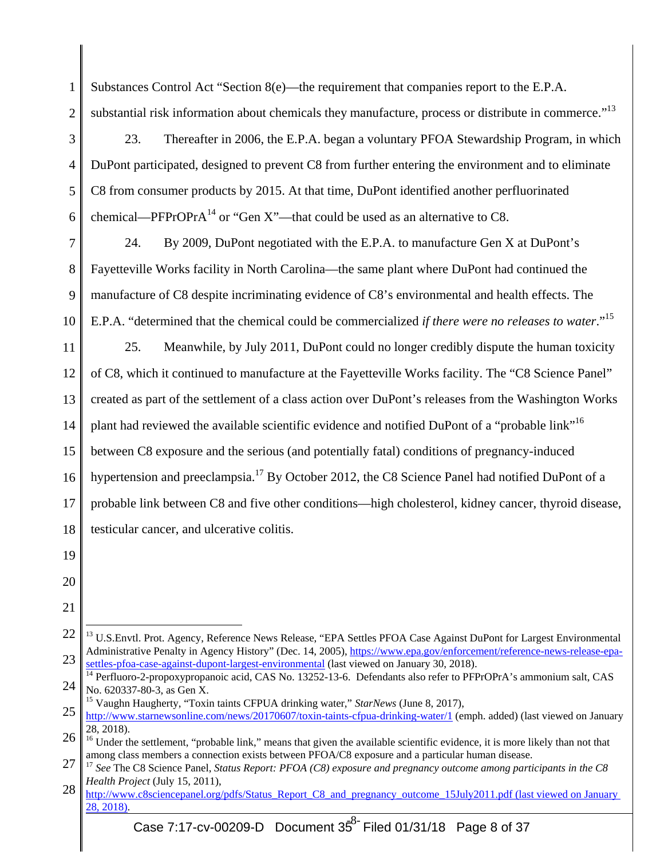| $\mathbf{1}$   | Substances Control Act "Section 8(e)—the requirement that companies report to the E.P.A.                                                                                                                            |  |  |
|----------------|---------------------------------------------------------------------------------------------------------------------------------------------------------------------------------------------------------------------|--|--|
| $\overline{2}$ | substantial risk information about chemicals they manufacture, process or distribute in commerce." <sup>13</sup>                                                                                                    |  |  |
| 3              | 23.<br>Thereafter in 2006, the E.P.A. began a voluntary PFOA Stewardship Program, in which                                                                                                                          |  |  |
| $\overline{4}$ | DuPont participated, designed to prevent C8 from further entering the environment and to eliminate                                                                                                                  |  |  |
| 5              | C8 from consumer products by 2015. At that time, DuPont identified another perfluorinated                                                                                                                           |  |  |
| 6              | chemical—PFPrOPr $A^{14}$ or "Gen X"—that could be used as an alternative to C8.                                                                                                                                    |  |  |
| 7              | By 2009, DuPont negotiated with the E.P.A. to manufacture Gen X at DuPont's<br>24.                                                                                                                                  |  |  |
| 8              | Fayetteville Works facility in North Carolina—the same plant where DuPont had continued the                                                                                                                         |  |  |
| 9              | manufacture of C8 despite incriminating evidence of C8's environmental and health effects. The                                                                                                                      |  |  |
| 10             | E.P.A. "determined that the chemical could be commercialized if there were no releases to water." <sup>15</sup>                                                                                                     |  |  |
| 11             | Meanwhile, by July 2011, DuPont could no longer credibly dispute the human toxicity<br>25.                                                                                                                          |  |  |
| 12             | of C8, which it continued to manufacture at the Fayetteville Works facility. The "C8 Science Panel"                                                                                                                 |  |  |
| 13             | created as part of the settlement of a class action over DuPont's releases from the Washington Works                                                                                                                |  |  |
| 14             | plant had reviewed the available scientific evidence and notified DuPont of a "probable link" <sup>16</sup>                                                                                                         |  |  |
| 15             | between C8 exposure and the serious (and potentially fatal) conditions of pregnancy-induced                                                                                                                         |  |  |
| 16             | hypertension and preeclampsia. <sup>17</sup> By October 2012, the C8 Science Panel had notified DuPont of a                                                                                                         |  |  |
| 17             | probable link between C8 and five other conditions—high cholesterol, kidney cancer, thyroid disease,                                                                                                                |  |  |
| 18             | testicular cancer, and ulcerative colitis.                                                                                                                                                                          |  |  |
| 19             |                                                                                                                                                                                                                     |  |  |
| 20             |                                                                                                                                                                                                                     |  |  |
| 21             |                                                                                                                                                                                                                     |  |  |
| 22             | <sup>13</sup> U.S.Envtl. Prot. Agency, Reference News Release, "EPA Settles PFOA Case Against DuPont for Largest Environmental                                                                                      |  |  |
| 23             | Administrative Penalty in Agency History" (Dec. 14, 2005), https://www.epa.gov/enforcement/reference-news-release-epa-<br>settles-pfoa-case-against-dupont-largest-environmental (last viewed on January 30, 2018). |  |  |

<sup>24</sup>  <sup>14</sup> Perfluoro-2-propoxypropanoic acid, CAS No. 13252-13-6. Defendants also refer to PFPrOPrA's ammonium salt, CAS No. 620337-80-3, as Gen X.

<sup>25</sup>  15 Vaughn Haugherty, "Toxin taints CFPUA drinking water," *StarNews* (June 8, 2017), http://www.starnewsonline.com/news/20170607/toxin-taints-cfpua-drinking-water/1 (emph. added) (last viewed on January 28, 2018).

<sup>26</sup>  <sup>16</sup> Under the settlement, "probable link," means that given the available scientific evidence, it is more likely than not that

<sup>27</sup>  among class members a connection exists between PFOA/C8 exposure and a particular human disease.<br><sup>17</sup> See The C8 Science Panel, Status Report: PFOA (C8) exposure and pregnancy outcome among participants in the C8 *Health Project* (July 15, 2011),

<sup>28</sup>  http://www.c8sciencepanel.org/pdfs/Status\_Report\_C8\_and\_pregnancy\_outcome\_15July2011.pdf (last viewed on January  $28, 2018$ .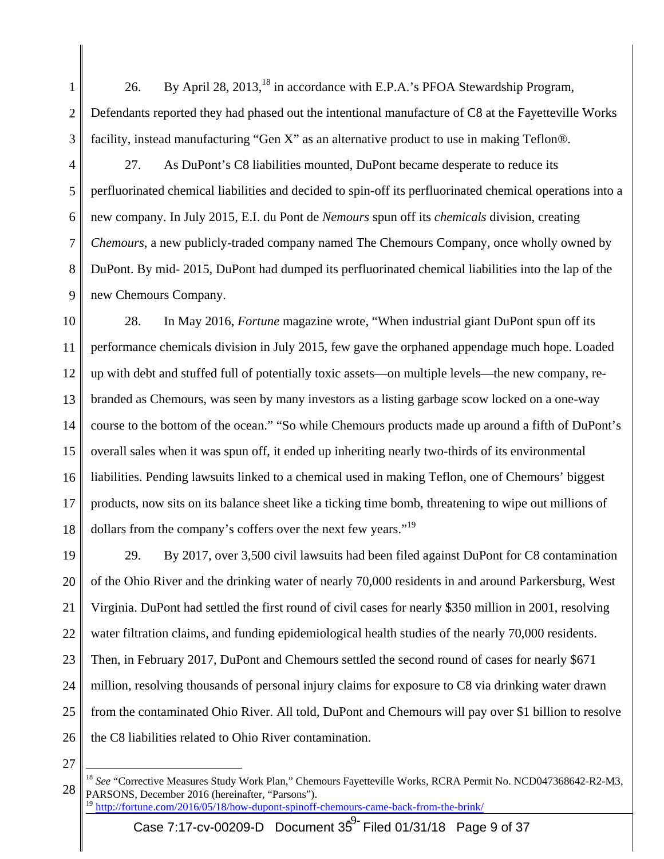1 2 3 26. By April 28, 2013,<sup>18</sup> in accordance with E.P.A.'s PFOA Stewardship Program, Defendants reported they had phased out the intentional manufacture of C8 at the Fayetteville Works facility, instead manufacturing "Gen X" as an alternative product to use in making Teflon®.

4 5 6 7 8 9 27. As DuPont's C8 liabilities mounted, DuPont became desperate to reduce its perfluorinated chemical liabilities and decided to spin-off its perfluorinated chemical operations into a new company. In July 2015, E.I. du Pont de *Nemours* spun off its *chemicals* division, creating *Chemours*, a new publicly-traded company named The Chemours Company, once wholly owned by DuPont. By mid- 2015, DuPont had dumped its perfluorinated chemical liabilities into the lap of the new Chemours Company.

10 11 12 13 14 15 16 17 18 28. In May 2016, *Fortune* magazine wrote, "When industrial giant DuPont spun off its performance chemicals division in July 2015, few gave the orphaned appendage much hope. Loaded up with debt and stuffed full of potentially toxic assets—on multiple levels—the new company, rebranded as Chemours, was seen by many investors as a listing garbage scow locked on a one-way course to the bottom of the ocean." "So while Chemours products made up around a fifth of DuPont's overall sales when it was spun off, it ended up inheriting nearly two-thirds of its environmental liabilities. Pending lawsuits linked to a chemical used in making Teflon, one of Chemours' biggest products, now sits on its balance sheet like a ticking time bomb, threatening to wipe out millions of dollars from the company's coffers over the next few years."<sup>19</sup>

19 20 21 22 23 24 25 26 29. By 2017, over 3,500 civil lawsuits had been filed against DuPont for C8 contamination of the Ohio River and the drinking water of nearly 70,000 residents in and around Parkersburg, West Virginia. DuPont had settled the first round of civil cases for nearly \$350 million in 2001, resolving water filtration claims, and funding epidemiological health studies of the nearly 70,000 residents. Then, in February 2017, DuPont and Chemours settled the second round of cases for nearly \$671 million, resolving thousands of personal injury claims for exposure to C8 via drinking water drawn from the contaminated Ohio River. All told, DuPont and Chemours will pay over \$1 billion to resolve the C8 liabilities related to Ohio River contamination.

<sup>28</sup>   $\overline{a}$ <sup>18</sup> See "Corrective Measures Study Work Plan," Chemours Fayetteville Works, RCRA Permit No. NCD047368642-R2-M3, PARSONS, December 2016 (hereinafter, "Parsons"). <sup>19</sup> http://fortune.com/2016/05/18/how-dupont-spinoff-chemours-came-back-from-the-brink/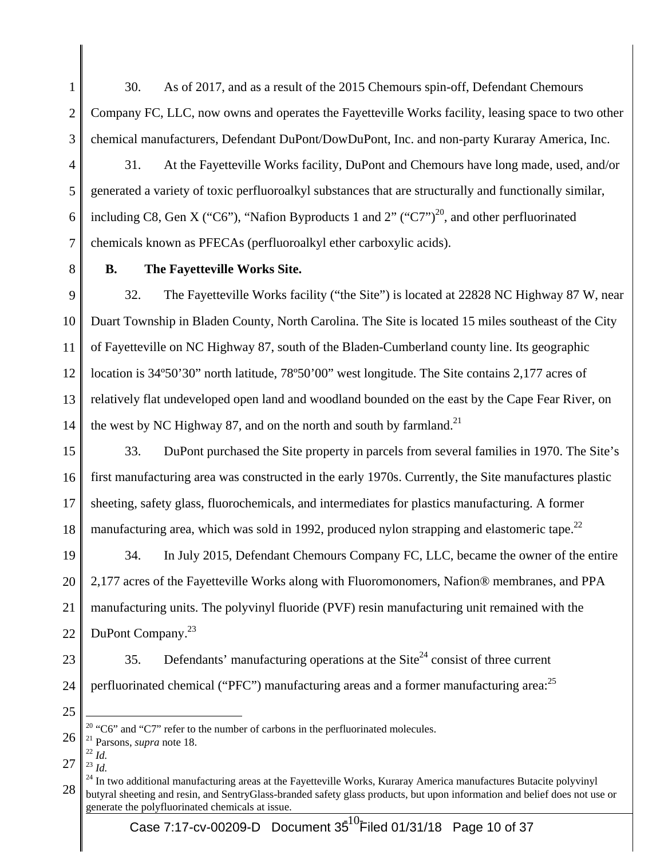1 2 3 30. As of 2017, and as a result of the 2015 Chemours spin-off, Defendant Chemours Company FC, LLC, now owns and operates the Fayetteville Works facility, leasing space to two other chemical manufacturers, Defendant DuPont/DowDuPont, Inc. and non-party Kuraray America, Inc.

- 4 5 6 7 31. At the Fayetteville Works facility, DuPont and Chemours have long made, used, and/or generated a variety of toxic perfluoroalkyl substances that are structurally and functionally similar, including C8, Gen X ("C6"), "Nafion Byproducts 1 and 2" ("C7")<sup>20</sup>, and other perfluorinated chemicals known as PFECAs (perfluoroalkyl ether carboxylic acids).
- 8

## **B. The Fayetteville Works Site.**

9 10 11 12 13 14 32. The Fayetteville Works facility ("the Site") is located at 22828 NC Highway 87 W, near Duart Township in Bladen County, North Carolina. The Site is located 15 miles southeast of the City of Fayetteville on NC Highway 87, south of the Bladen-Cumberland county line. Its geographic location is 34°50'30" north latitude, 78°50'00" west longitude. The Site contains 2,177 acres of relatively flat undeveloped open land and woodland bounded on the east by the Cape Fear River, on the west by NC Highway 87, and on the north and south by farmland.<sup>21</sup>

15 16 17 18 33. DuPont purchased the Site property in parcels from several families in 1970. The Site's first manufacturing area was constructed in the early 1970s. Currently, the Site manufactures plastic sheeting, safety glass, fluorochemicals, and intermediates for plastics manufacturing. A former manufacturing area, which was sold in 1992, produced nylon strapping and elastomeric tape.<sup>22</sup>

19 20 21 22 34. In July 2015, Defendant Chemours Company FC, LLC, became the owner of the entire 2,177 acres of the Fayetteville Works along with Fluoromonomers, Nafion® membranes, and PPA manufacturing units. The polyvinyl fluoride (PVF) resin manufacturing unit remained with the DuPont Company.<sup>23</sup>

23

35. Defendants' manufacturing operations at the Site<sup>24</sup> consist of three current

- 24 perfluorinated chemical ("PFC") manufacturing areas and a former manufacturing area: $^{25}$
- 25

27  $^{23}$  *Id.* 

<sup>&</sup>lt;sup>20</sup> "C6" and "C7" refer to the number of carbons in the perfluorinated molecules.

<sup>26</sup>  21 Parsons, *supra* note 18. 22 *Id.* 

<sup>28</sup>  <sup>24</sup> In two additional manufacturing areas at the Fayetteville Works, Kuraray America manufactures Butacite polyvinyl butyral sheeting and resin, and SentryGlass-branded safety glass products, but upon information and belief does not use or generate the polyfluorinated chemicals at issue.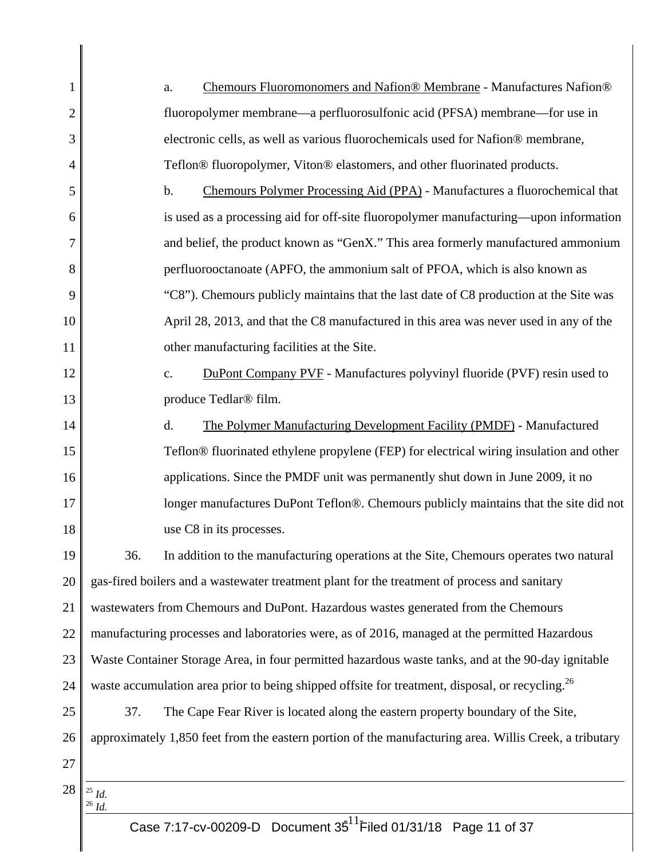| $\mathbf{1}$   |                                                                                               | Chemours Fluoromonomers and Nafion® Membrane - Manufactures Nafion®<br>a.                                   |
|----------------|-----------------------------------------------------------------------------------------------|-------------------------------------------------------------------------------------------------------------|
| $\overline{2}$ |                                                                                               | fluoropolymer membrane—a perfluorosulfonic acid (PFSA) membrane—for use in                                  |
| 3              |                                                                                               | electronic cells, as well as various fluorochemicals used for Nafion® membrane,                             |
| $\overline{4}$ |                                                                                               | Teflon® fluoropolymer, Viton® elastomers, and other fluorinated products.                                   |
| 5              |                                                                                               | Chemours Polymer Processing Aid (PPA) - Manufactures a fluorochemical that<br>$\mathbf b$ .                 |
| 6              |                                                                                               | is used as a processing aid for off-site fluoropolymer manufacturing—upon information                       |
| 7              |                                                                                               | and belief, the product known as "GenX." This area formerly manufactured ammonium                           |
| 8              |                                                                                               | perfluorooctanoate (APFO, the ammonium salt of PFOA, which is also known as                                 |
| 9              |                                                                                               | "C8"). Chemours publicly maintains that the last date of C8 production at the Site was                      |
| 10             |                                                                                               | April 28, 2013, and that the C8 manufactured in this area was never used in any of the                      |
| 11             |                                                                                               | other manufacturing facilities at the Site.                                                                 |
| 12             |                                                                                               | DuPont Company PVF - Manufactures polyvinyl fluoride (PVF) resin used to<br>$\mathbf{c}$ .                  |
| 13             |                                                                                               | produce Tedlar <sup>®</sup> film.                                                                           |
| 14             |                                                                                               | d.<br>The Polymer Manufacturing Development Facility (PMDF) - Manufactured                                  |
| 15             |                                                                                               | Teflon® fluorinated ethylene propylene (FEP) for electrical wiring insulation and other                     |
| 16             |                                                                                               | applications. Since the PMDF unit was permanently shut down in June 2009, it no                             |
| 17             |                                                                                               | longer manufactures DuPont Teflon®. Chemours publicly maintains that the site did not                       |
| 18             |                                                                                               | use C8 in its processes.                                                                                    |
| 19             | 36.                                                                                           | In addition to the manufacturing operations at the Site, Chemours operates two natural                      |
| 20             |                                                                                               | gas-fired boilers and a wastewater treatment plant for the treatment of process and sanitary                |
| 21             | wastewaters from Chemours and DuPont. Hazardous wastes generated from the Chemours            |                                                                                                             |
| 22             | manufacturing processes and laboratories were, as of 2016, managed at the permitted Hazardous |                                                                                                             |
| 23             |                                                                                               | Waste Container Storage Area, in four permitted hazardous waste tanks, and at the 90-day ignitable          |
| 24             |                                                                                               | waste accumulation area prior to being shipped offsite for treatment, disposal, or recycling. <sup>26</sup> |
| 25             | 37.                                                                                           | The Cape Fear River is located along the eastern property boundary of the Site,                             |
| 26             |                                                                                               | approximately 1,850 feet from the eastern portion of the manufacturing area. Willis Creek, a tributary      |
| 27             |                                                                                               |                                                                                                             |
| 28             | $^{\rm 25}$ $ld.$                                                                             |                                                                                                             |
|                | $^{26}\,$ Id.                                                                                 |                                                                                                             |

║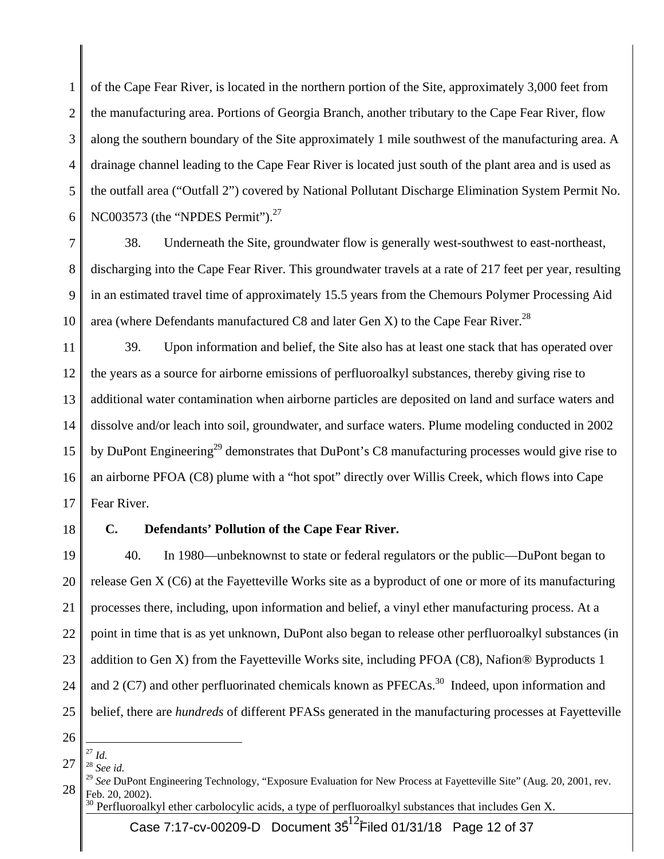1 2 3 4 5 6 of the Cape Fear River, is located in the northern portion of the Site, approximately 3,000 feet from the manufacturing area. Portions of Georgia Branch, another tributary to the Cape Fear River, flow along the southern boundary of the Site approximately 1 mile southwest of the manufacturing area. A drainage channel leading to the Cape Fear River is located just south of the plant area and is used as the outfall area ("Outfall 2") covered by National Pollutant Discharge Elimination System Permit No. NC003573 (the "NPDES Permit").<sup>27</sup>

7 8 9 10 38. Underneath the Site, groundwater flow is generally west-southwest to east-northeast, discharging into the Cape Fear River. This groundwater travels at a rate of 217 feet per year, resulting in an estimated travel time of approximately 15.5 years from the Chemours Polymer Processing Aid area (where Defendants manufactured C8 and later Gen X) to the Cape Fear River.<sup>28</sup>

11 12 13 14 15 16 17 39. Upon information and belief, the Site also has at least one stack that has operated over the years as a source for airborne emissions of perfluoroalkyl substances, thereby giving rise to additional water contamination when airborne particles are deposited on land and surface waters and dissolve and/or leach into soil, groundwater, and surface waters. Plume modeling conducted in 2002 by DuPont Engineering<sup>29</sup> demonstrates that DuPont's C8 manufacturing processes would give rise to an airborne PFOA (C8) plume with a "hot spot" directly over Willis Creek, which flows into Cape Fear River.

18

#### **C. Defendants' Pollution of the Cape Fear River.**

19 20 21 22 23 24 25 40. In 1980—unbeknownst to state or federal regulators or the public—DuPont began to release Gen X (C6) at the Fayetteville Works site as a byproduct of one or more of its manufacturing processes there, including, upon information and belief, a vinyl ether manufacturing process. At a point in time that is as yet unknown, DuPont also began to release other perfluoroalkyl substances (in addition to Gen X) from the Fayetteville Works site, including PFOA (C8), Nafion® Byproducts 1 and 2 (C7) and other perfluorinated chemicals known as  $PFECAs.<sup>30</sup>$  Indeed, upon information and belief, there are *hundreds* of different PFASs generated in the manufacturing processes at Fayetteville

- 26
- 27  $\overline{a}$ <sup>27</sup> *Id.*
- <sup>28</sup> *See id.*

<sup>30</sup> Perfluoroalkyl ether carbolocylic acids, a type of perfluoroalkyl substances that includes Gen X.

Case 7:17-cv-00209-D Document 35 $^{12}$ Filed 01/31/18 Page 12 of 37

<sup>28</sup>  <sup>29</sup> See DuPont Engineering Technology, "Exposure Evaluation for New Process at Fayetteville Site" (Aug. 20, 2001, rev. Feb. 20, 2002).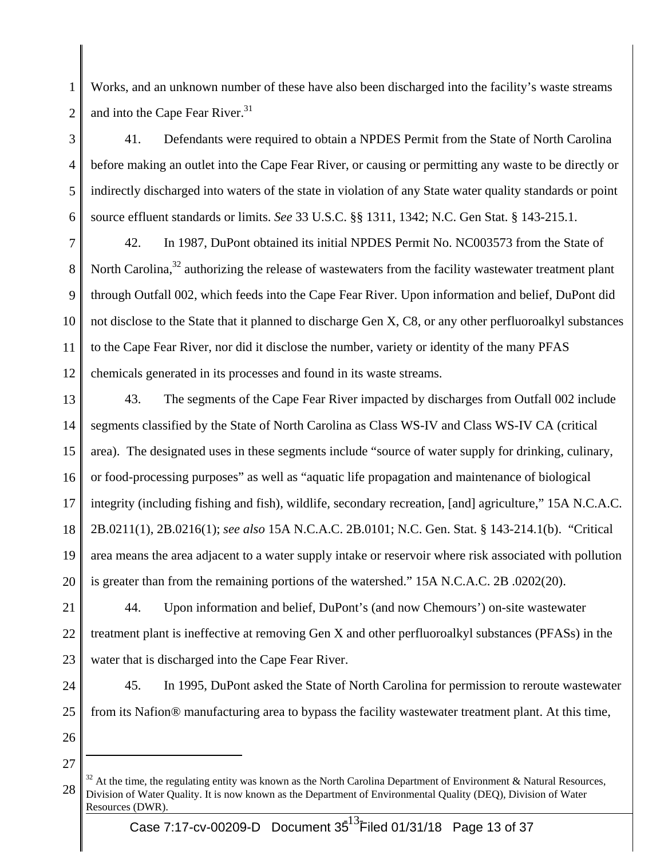1 2 Works, and an unknown number of these have also been discharged into the facility's waste streams and into the Cape Fear River.<sup>31</sup>

3 4 5 6 41. Defendants were required to obtain a NPDES Permit from the State of North Carolina before making an outlet into the Cape Fear River, or causing or permitting any waste to be directly or indirectly discharged into waters of the state in violation of any State water quality standards or point source effluent standards or limits. *See* 33 U.S.C. §§ 1311, 1342; N.C. Gen Stat. § 143-215.1.

7 8 9 10 11 12 42. In 1987, DuPont obtained its initial NPDES Permit No. NC003573 from the State of North Carolina, $32$  authorizing the release of wastewaters from the facility wastewater treatment plant through Outfall 002, which feeds into the Cape Fear River. Upon information and belief, DuPont did not disclose to the State that it planned to discharge Gen X, C8, or any other perfluoroalkyl substances to the Cape Fear River, nor did it disclose the number, variety or identity of the many PFAS chemicals generated in its processes and found in its waste streams.

13 14 15 16 17 18 19 20 43. The segments of the Cape Fear River impacted by discharges from Outfall 002 include segments classified by the State of North Carolina as Class WS-IV and Class WS-IV CA (critical area). The designated uses in these segments include "source of water supply for drinking, culinary, or food-processing purposes" as well as "aquatic life propagation and maintenance of biological integrity (including fishing and fish), wildlife, secondary recreation, [and] agriculture," 15A N.C.A.C. 2B.0211(1), 2B.0216(1); *see also* 15A N.C.A.C. 2B.0101; N.C. Gen. Stat. § 143-214.1(b). "Critical area means the area adjacent to a water supply intake or reservoir where risk associated with pollution is greater than from the remaining portions of the watershed." 15A N.C.A.C. 2B .0202(20).

21 22 23 44. Upon information and belief, DuPont's (and now Chemours') on-site wastewater treatment plant is ineffective at removing Gen X and other perfluoroalkyl substances (PFASs) in the water that is discharged into the Cape Fear River.

24

25

45. In 1995, DuPont asked the State of North Carolina for permission to reroute wastewater from its Nafion® manufacturing area to bypass the facility wastewater treatment plant. At this time,

- 26
- 27

<sup>28</sup>  <sup>32</sup> At the time, the regulating entity was known as the North Carolina Department of Environment & Natural Resources, Division of Water Quality. It is now known as the Department of Environmental Quality (DEQ), Division of Water Resources (DWR).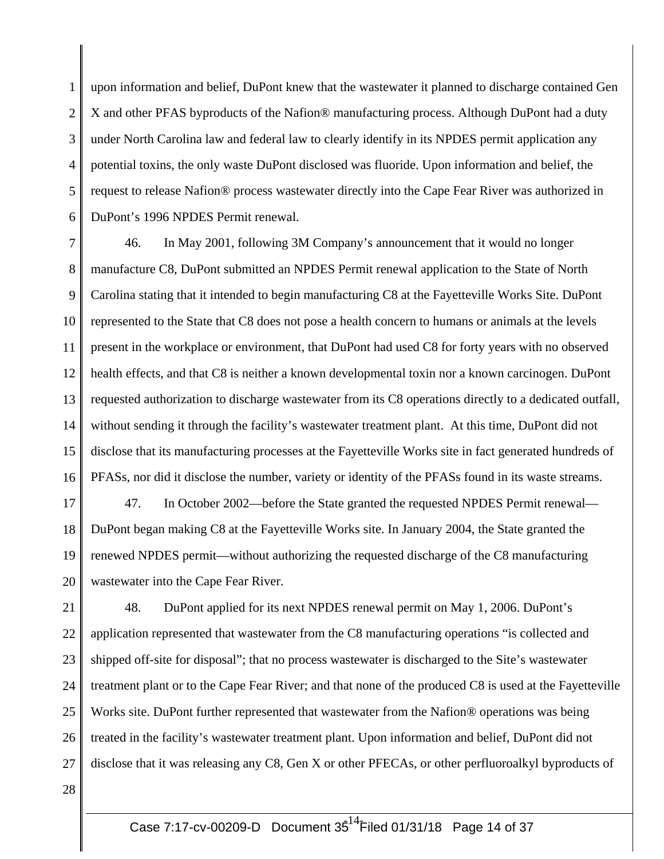1 2 3 4 5 6 upon information and belief, DuPont knew that the wastewater it planned to discharge contained Gen X and other PFAS byproducts of the Nafion® manufacturing process. Although DuPont had a duty under North Carolina law and federal law to clearly identify in its NPDES permit application any potential toxins, the only waste DuPont disclosed was fluoride. Upon information and belief, the request to release Nafion® process wastewater directly into the Cape Fear River was authorized in DuPont's 1996 NPDES Permit renewal.

7 8 9 10 11 12 13 14 15 16 46. In May 2001, following 3M Company's announcement that it would no longer manufacture C8, DuPont submitted an NPDES Permit renewal application to the State of North Carolina stating that it intended to begin manufacturing C8 at the Fayetteville Works Site. DuPont represented to the State that C8 does not pose a health concern to humans or animals at the levels present in the workplace or environment, that DuPont had used C8 for forty years with no observed health effects, and that C8 is neither a known developmental toxin nor a known carcinogen. DuPont requested authorization to discharge wastewater from its C8 operations directly to a dedicated outfall, without sending it through the facility's wastewater treatment plant. At this time, DuPont did not disclose that its manufacturing processes at the Fayetteville Works site in fact generated hundreds of PFASs, nor did it disclose the number, variety or identity of the PFASs found in its waste streams.

17 18 19 20 47. In October 2002—before the State granted the requested NPDES Permit renewal— DuPont began making C8 at the Fayetteville Works site. In January 2004, the State granted the renewed NPDES permit—without authorizing the requested discharge of the C8 manufacturing wastewater into the Cape Fear River.

21 22 23 24 25 26 27 48. DuPont applied for its next NPDES renewal permit on May 1, 2006. DuPont's application represented that wastewater from the C8 manufacturing operations "is collected and shipped off-site for disposal"; that no process wastewater is discharged to the Site's wastewater treatment plant or to the Cape Fear River; and that none of the produced C8 is used at the Fayetteville Works site. DuPont further represented that wastewater from the Nafion® operations was being treated in the facility's wastewater treatment plant. Upon information and belief, DuPont did not disclose that it was releasing any C8, Gen X or other PFECAs, or other perfluoroalkyl byproducts of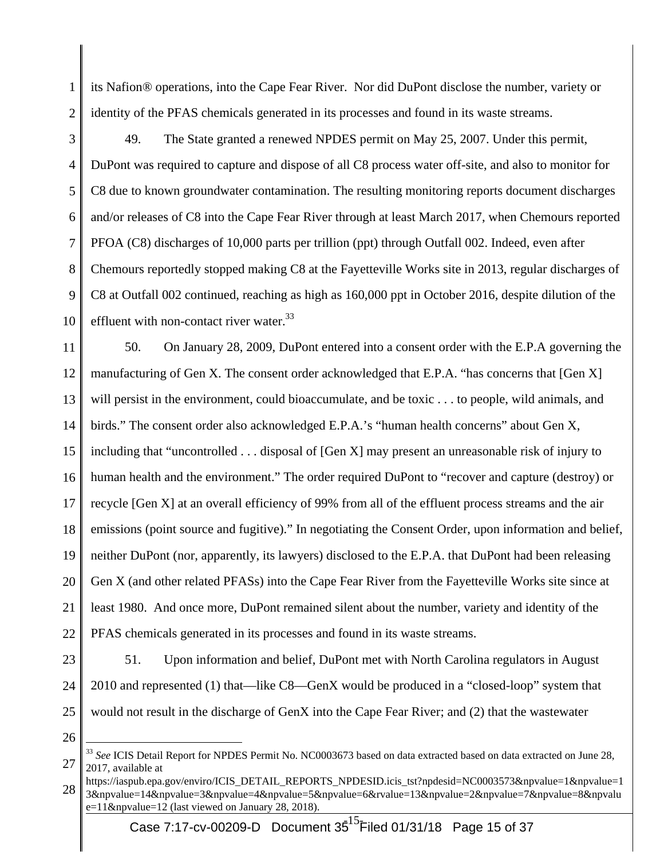1 2 its Nafion® operations, into the Cape Fear River. Nor did DuPont disclose the number, variety or identity of the PFAS chemicals generated in its processes and found in its waste streams.

3 4 5 6 7 8 9 10 49. The State granted a renewed NPDES permit on May 25, 2007. Under this permit, DuPont was required to capture and dispose of all C8 process water off-site, and also to monitor for C8 due to known groundwater contamination. The resulting monitoring reports document discharges and/or releases of C8 into the Cape Fear River through at least March 2017, when Chemours reported PFOA (C8) discharges of 10,000 parts per trillion (ppt) through Outfall 002. Indeed, even after Chemours reportedly stopped making C8 at the Fayetteville Works site in 2013, regular discharges of C8 at Outfall 002 continued, reaching as high as 160,000 ppt in October 2016, despite dilution of the effluent with non-contact river water.<sup>33</sup>

11 12 13 14 15 16 17 18 19 20 21 22 50. On January 28, 2009, DuPont entered into a consent order with the E.P.A governing the manufacturing of Gen X. The consent order acknowledged that E.P.A. "has concerns that [Gen X] will persist in the environment, could bioaccumulate, and be toxic . . . to people, wild animals, and birds." The consent order also acknowledged E.P.A.'s "human health concerns" about Gen X, including that "uncontrolled . . . disposal of [Gen X] may present an unreasonable risk of injury to human health and the environment." The order required DuPont to "recover and capture (destroy) or recycle [Gen X] at an overall efficiency of 99% from all of the effluent process streams and the air emissions (point source and fugitive)." In negotiating the Consent Order, upon information and belief, neither DuPont (nor, apparently, its lawyers) disclosed to the E.P.A. that DuPont had been releasing Gen X (and other related PFASs) into the Cape Fear River from the Fayetteville Works site since at least 1980. And once more, DuPont remained silent about the number, variety and identity of the PFAS chemicals generated in its processes and found in its waste streams.

- 23 24 25 51. Upon information and belief, DuPont met with North Carolina regulators in August 2010 and represented (1) that—like C8—GenX would be produced in a "closed-loop" system that would not result in the discharge of GenX into the Cape Fear River; and (2) that the wastewater
- 26

<sup>27</sup>  <sup>33</sup> *See* ICIS Detail Report for NPDES Permit No. NC0003673 based on data extracted based on data extracted on June 28, 2017, available at

<sup>28</sup>  https://iaspub.epa.gov/enviro/ICIS\_DETAIL\_REPORTS\_NPDESID.icis\_tst?npdesid=NC0003573&npvalue=1&npvalue=1 3&npvalue=14&npvalue=3&npvalue=4&npvalue=5&npvalue=6&rvalue=13&npvalue=2&npvalue=7&npvalue=8&npvalu  $e=11$ &npvalue=12 (last viewed on January 28, 2018).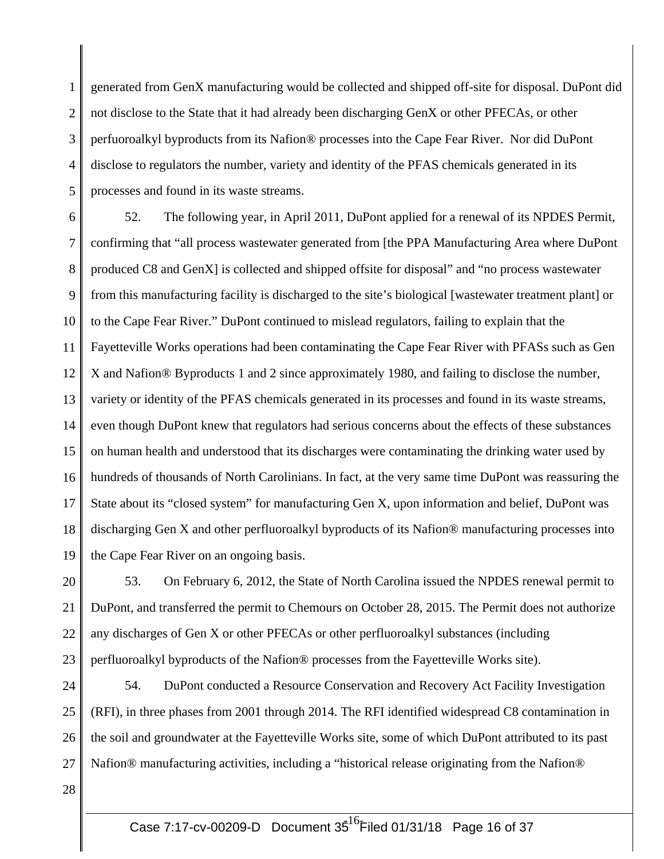1 2 3 4 5 generated from GenX manufacturing would be collected and shipped off-site for disposal. DuPont did not disclose to the State that it had already been discharging GenX or other PFECAs, or other perfuoroalkyl byproducts from its Nafion® processes into the Cape Fear River. Nor did DuPont disclose to regulators the number, variety and identity of the PFAS chemicals generated in its processes and found in its waste streams.

6 7 8 9 10 11 12 13 14 15 16 17 18 19 52. The following year, in April 2011, DuPont applied for a renewal of its NPDES Permit, confirming that "all process wastewater generated from [the PPA Manufacturing Area where DuPont produced C8 and GenX] is collected and shipped offsite for disposal" and "no process wastewater from this manufacturing facility is discharged to the site's biological [wastewater treatment plant] or to the Cape Fear River." DuPont continued to mislead regulators, failing to explain that the Fayetteville Works operations had been contaminating the Cape Fear River with PFASs such as Gen X and Nafion® Byproducts 1 and 2 since approximately 1980, and failing to disclose the number, variety or identity of the PFAS chemicals generated in its processes and found in its waste streams, even though DuPont knew that regulators had serious concerns about the effects of these substances on human health and understood that its discharges were contaminating the drinking water used by hundreds of thousands of North Carolinians. In fact, at the very same time DuPont was reassuring the State about its "closed system" for manufacturing Gen X, upon information and belief, DuPont was discharging Gen X and other perfluoroalkyl byproducts of its Nafion® manufacturing processes into the Cape Fear River on an ongoing basis.

20 21 22 23 53. On February 6, 2012, the State of North Carolina issued the NPDES renewal permit to DuPont, and transferred the permit to Chemours on October 28, 2015. The Permit does not authorize any discharges of Gen X or other PFECAs or other perfluoroalkyl substances (including perfluoroalkyl byproducts of the Nafion® processes from the Fayetteville Works site).

24 25 26 27 54. DuPont conducted a Resource Conservation and Recovery Act Facility Investigation (RFI), in three phases from 2001 through 2014. The RFI identified widespread C8 contamination in the soil and groundwater at the Fayetteville Works site, some of which DuPont attributed to its past Nafion® manufacturing activities, including a "historical release originating from the Nafion®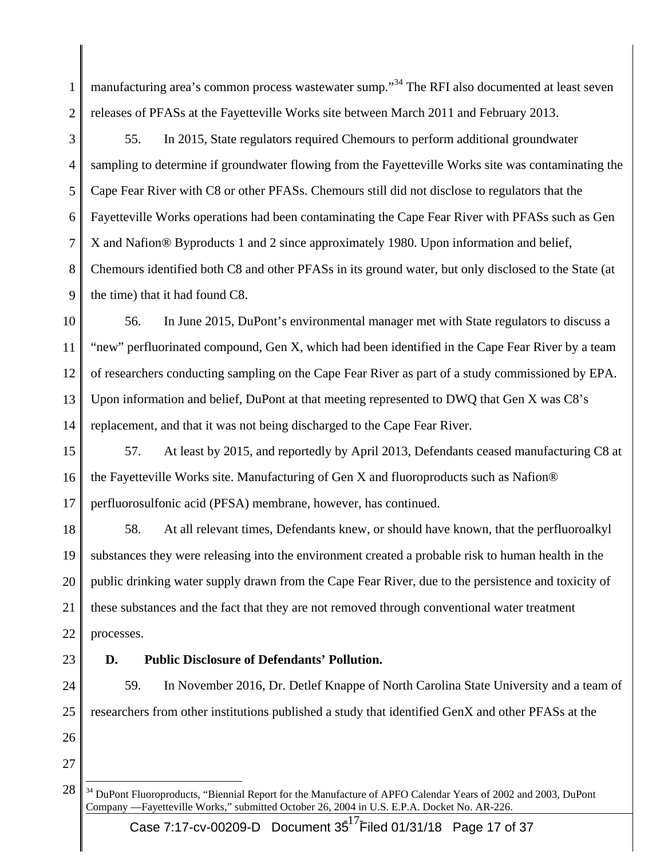1 2 manufacturing area's common process wastewater sump."<sup>34</sup> The RFI also documented at least seven releases of PFASs at the Fayetteville Works site between March 2011 and February 2013.

3 4 5 6 7 8 9 55. In 2015, State regulators required Chemours to perform additional groundwater sampling to determine if groundwater flowing from the Fayetteville Works site was contaminating the Cape Fear River with C8 or other PFASs. Chemours still did not disclose to regulators that the Fayetteville Works operations had been contaminating the Cape Fear River with PFASs such as Gen X and Nafion® Byproducts 1 and 2 since approximately 1980. Upon information and belief, Chemours identified both C8 and other PFASs in its ground water, but only disclosed to the State (at the time) that it had found C8.

10 11 12 13 14 56. In June 2015, DuPont's environmental manager met with State regulators to discuss a "new" perfluorinated compound, Gen X, which had been identified in the Cape Fear River by a team of researchers conducting sampling on the Cape Fear River as part of a study commissioned by EPA. Upon information and belief, DuPont at that meeting represented to DWQ that Gen X was C8's replacement, and that it was not being discharged to the Cape Fear River.

15 16 17 57. At least by 2015, and reportedly by April 2013, Defendants ceased manufacturing C8 at the Fayetteville Works site. Manufacturing of Gen X and fluoroproducts such as Nafion® perfluorosulfonic acid (PFSA) membrane, however, has continued.

18 19 20 21 22 58. At all relevant times, Defendants knew, or should have known, that the perfluoroalkyl substances they were releasing into the environment created a probable risk to human health in the public drinking water supply drawn from the Cape Fear River, due to the persistence and toxicity of these substances and the fact that they are not removed through conventional water treatment processes.

23

# **D. Public Disclosure of Defendants' Pollution.**

24 25 26 59. In November 2016, Dr. Detlef Knappe of North Carolina State University and a team of researchers from other institutions published a study that identified GenX and other PFASs at the

<sup>28</sup>   $\overline{a}$ <sup>34</sup> DuPont Fluoroproducts, "Biennial Report for the Manufacture of APFO Calendar Years of 2002 and 2003, DuPont Company —Fayetteville Works," submitted October 26, 2004 in U.S. E.P.A. Docket No. AR-226.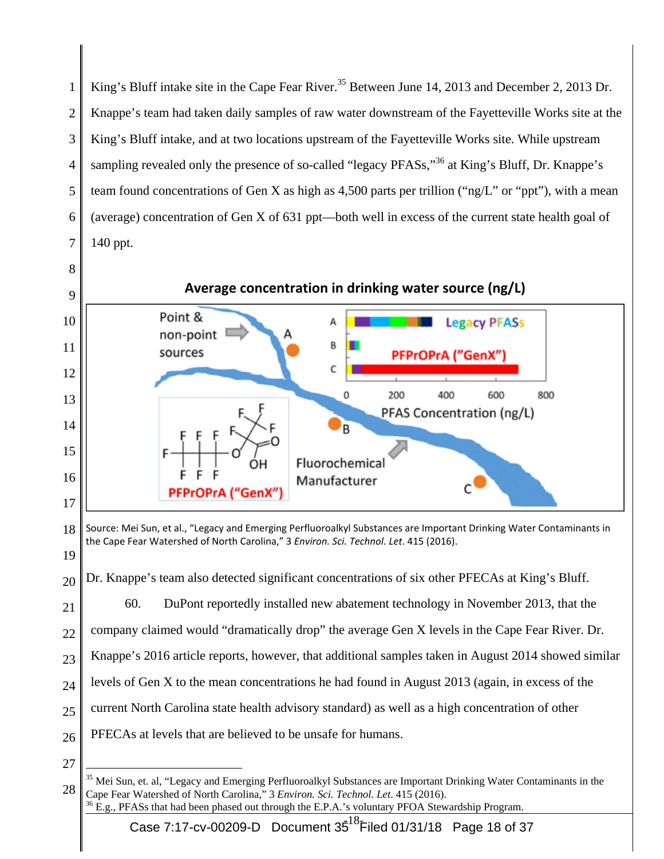1 2 3 4 5 6 7 King's Bluff intake site in the Cape Fear River.<sup>35</sup> Between June 14, 2013 and December 2, 2013 Dr. Knappe's team had taken daily samples of raw water downstream of the Fayetteville Works site at the King's Bluff intake, and at two locations upstream of the Fayetteville Works site. While upstream sampling revealed only the presence of so-called "legacy PFASs,"<sup>36</sup> at King's Bluff, Dr. Knappe's team found concentrations of Gen X as high as 4,500 parts per trillion ("ng/L" or "ppt"), with a mean (average) concentration of Gen X of 631 ppt—both well in excess of the current state health goal of 140 ppt.



<sup>18</sup>  19 Source: Mei Sun, et al., "Legacy and Emerging Perfluoroalkyl Substances are Important Drinking Water Contaminants in the Cape Fear Watershed of North Carolina," 3 *Environ. Sci. Technol. Let*. 415 (2016).

20 Dr. Knappe's team also detected significant concentrations of six other PFECAs at King's Bluff.

21 60. DuPont reportedly installed new abatement technology in November 2013, that the

22 company claimed would "dramatically drop" the average Gen X levels in the Cape Fear River. Dr.

- 23 Knappe's 2016 article reports, however, that additional samples taken in August 2014 showed similar
- 24 levels of Gen X to the mean concentrations he had found in August 2013 (again, in excess of the
- 25 current North Carolina state health advisory standard) as well as a high concentration of other
- 26 PFECAs at levels that are believed to be unsafe for humans.
- 27

<sup>28</sup>  <sup>35</sup> Mei Sun, et. al, "Legacy and Emerging Perfluoroalkyl Substances are Important Drinking Water Contaminants in the Cape Fear Watershed of North Carolina," 3 *Environ. Sci. Technol. Let.* 415 (2016).<br><sup>36</sup> E.g., PFASs that had been phased out through the E.P.A.'s voluntary PFOA Stewardship Program.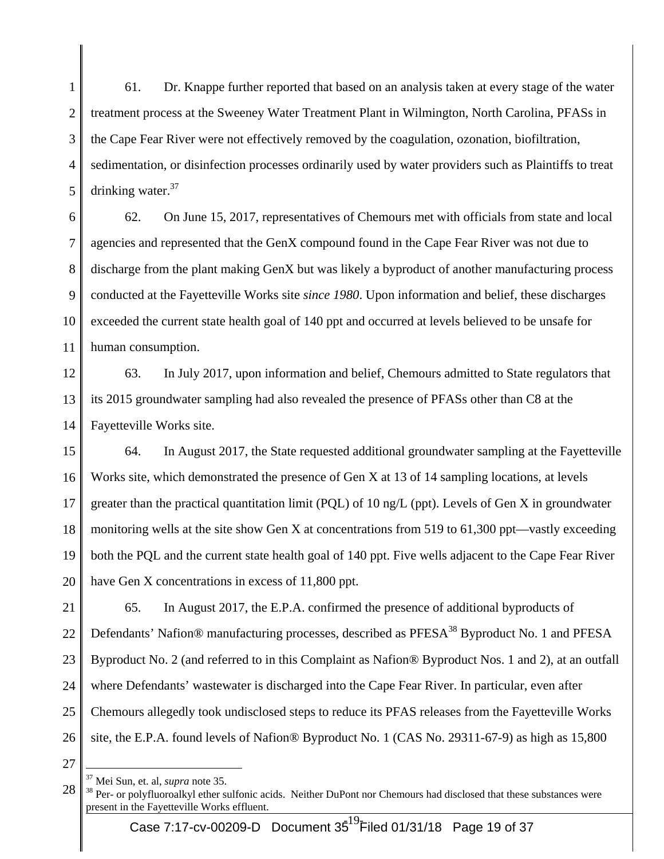1 2 3 4 5 61. Dr. Knappe further reported that based on an analysis taken at every stage of the water treatment process at the Sweeney Water Treatment Plant in Wilmington, North Carolina, PFASs in the Cape Fear River were not effectively removed by the coagulation, ozonation, biofiltration, sedimentation, or disinfection processes ordinarily used by water providers such as Plaintiffs to treat drinking water. $37$ 

6 7 8 9 10 11 62. On June 15, 2017, representatives of Chemours met with officials from state and local agencies and represented that the GenX compound found in the Cape Fear River was not due to discharge from the plant making GenX but was likely a byproduct of another manufacturing process conducted at the Fayetteville Works site *since 1980*. Upon information and belief, these discharges exceeded the current state health goal of 140 ppt and occurred at levels believed to be unsafe for human consumption.

12 13 14 63. In July 2017, upon information and belief, Chemours admitted to State regulators that its 2015 groundwater sampling had also revealed the presence of PFASs other than C8 at the Fayetteville Works site.

15 16 17 18 19 20 64. In August 2017, the State requested additional groundwater sampling at the Fayetteville Works site, which demonstrated the presence of Gen X at 13 of 14 sampling locations, at levels greater than the practical quantitation limit (PQL) of 10 ng/L (ppt). Levels of Gen X in groundwater monitoring wells at the site show Gen X at concentrations from 519 to 61,300 ppt—vastly exceeding both the PQL and the current state health goal of 140 ppt. Five wells adjacent to the Cape Fear River have Gen X concentrations in excess of 11,800 ppt.

21 22 23 24 25 26 65. In August 2017, the E.P.A. confirmed the presence of additional byproducts of Defendants' Nafion® manufacturing processes, described as PFESA<sup>38</sup> Byproduct No. 1 and PFESA Byproduct No. 2 (and referred to in this Complaint as Nafion® Byproduct Nos. 1 and 2), at an outfall where Defendants' wastewater is discharged into the Cape Fear River. In particular, even after Chemours allegedly took undisclosed steps to reduce its PFAS releases from the Fayetteville Works site, the E.P.A. found levels of Nafion® Byproduct No. 1 (CAS No. 29311-67-9) as high as 15,800

27

<sup>28</sup>  <sup>37</sup> Mei Sun, et. al, *supra* note 35.<br><sup>38</sup> Per- or polyfluoroalkyl ether sulfonic acids. Neither DuPont nor Chemours had disclosed that these substances were present in the Fayetteville Works effluent.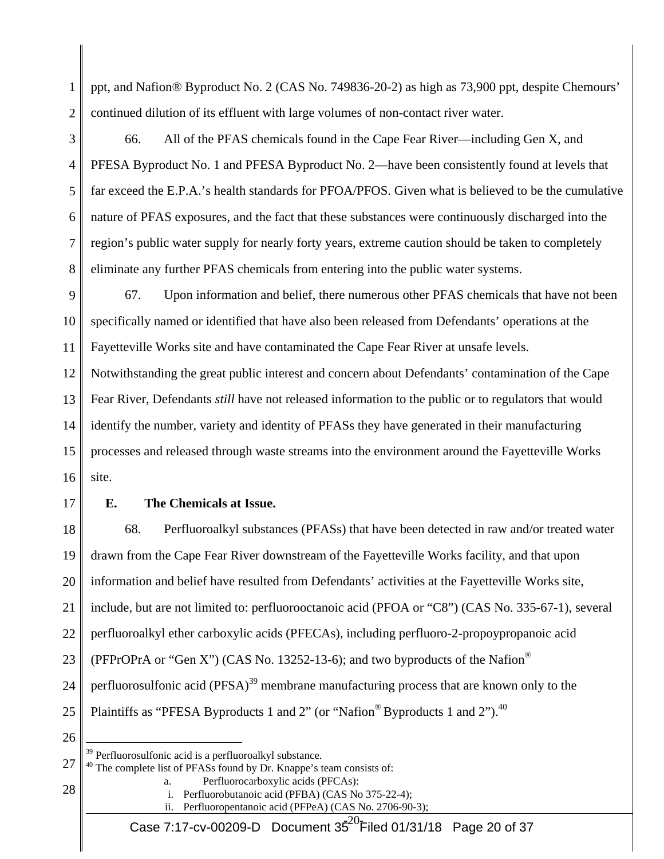1 2 ppt, and Nafion® Byproduct No. 2 (CAS No. 749836-20-2) as high as 73,900 ppt, despite Chemours' continued dilution of its effluent with large volumes of non-contact river water.

3 4 5 6 7 8 66. All of the PFAS chemicals found in the Cape Fear River—including Gen X, and PFESA Byproduct No. 1 and PFESA Byproduct No. 2—have been consistently found at levels that far exceed the E.P.A.'s health standards for PFOA/PFOS. Given what is believed to be the cumulative nature of PFAS exposures, and the fact that these substances were continuously discharged into the region's public water supply for nearly forty years, extreme caution should be taken to completely eliminate any further PFAS chemicals from entering into the public water systems.

9 10 11 67. Upon information and belief, there numerous other PFAS chemicals that have not been specifically named or identified that have also been released from Defendants' operations at the Fayetteville Works site and have contaminated the Cape Fear River at unsafe levels.

12 13 14 15 16 Notwithstanding the great public interest and concern about Defendants' contamination of the Cape Fear River, Defendants *still* have not released information to the public or to regulators that would identify the number, variety and identity of PFASs they have generated in their manufacturing processes and released through waste streams into the environment around the Fayetteville Works site.

17

# **E. The Chemicals at Issue.**

18 19 20 21 22 23 24 25 26 68. Perfluoroalkyl substances (PFASs) that have been detected in raw and/or treated water drawn from the Cape Fear River downstream of the Fayetteville Works facility, and that upon information and belief have resulted from Defendants' activities at the Fayetteville Works site, include, but are not limited to: perfluorooctanoic acid (PFOA or "C8") (CAS No. 335-67-1), several perfluoroalkyl ether carboxylic acids (PFECAs), including perfluoro-2-propoypropanoic acid (PFPrOPrA or "Gen X") (CAS No. 13252-13-6); and two byproducts of the Nafion<sup>®</sup> perfluorosulfonic acid  $(PFSA)^{39}$  membrane manufacturing process that are known only to the Plaintiffs as "PFESA Byproducts 1 and 2" (or "Nafion<sup>®</sup> Byproducts 1 and 2").<sup>40</sup>  $\overline{a}$ 

27  $40$  The complete list of PFASs found by Dr. Knappe's team consists of: a. Perfluorocarboxylic acids (PFCAs):

- 28
- i. Perfluorobutanoic acid (PFBA) (CAS No 375-22-4); ii. Perfluoropentanoic acid (PFPeA) (CAS No. 2706-90-3);

 $39$  Perfluorosulfonic acid is a perfluoroalkyl substance.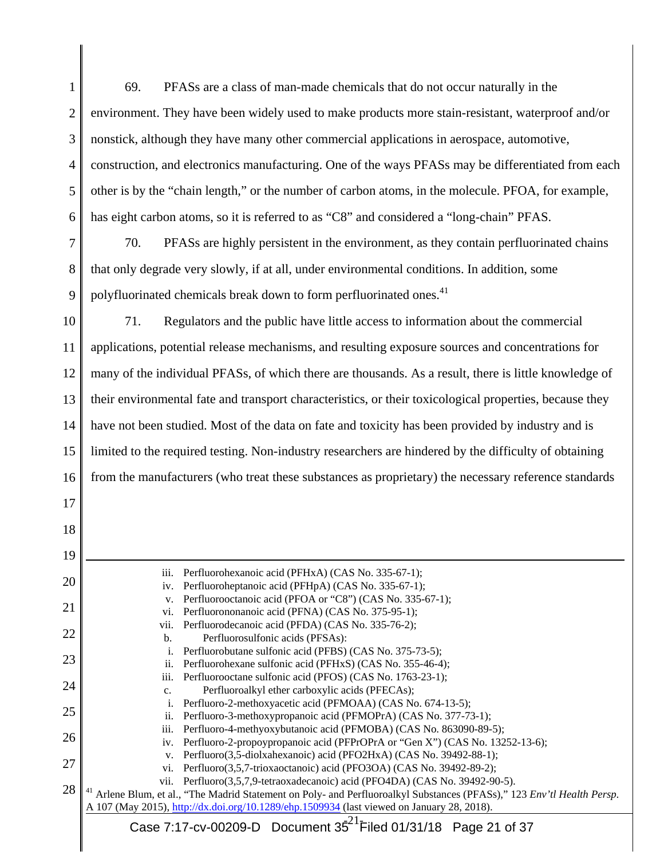| 1              | PFASs are a class of man-made chemicals that do not occur naturally in the<br>69.                                                                                                                       |  |  |
|----------------|---------------------------------------------------------------------------------------------------------------------------------------------------------------------------------------------------------|--|--|
| $\overline{2}$ | environment. They have been widely used to make products more stain-resistant, waterproof and/or                                                                                                        |  |  |
| 3              | nonstick, although they have many other commercial applications in aerospace, automotive,                                                                                                               |  |  |
| 4              | construction, and electronics manufacturing. One of the ways PFASs may be differentiated from each                                                                                                      |  |  |
| 5              | other is by the "chain length," or the number of carbon atoms, in the molecule. PFOA, for example,                                                                                                      |  |  |
| 6              | has eight carbon atoms, so it is referred to as "C8" and considered a "long-chain" PFAS.                                                                                                                |  |  |
| 7              | PFASs are highly persistent in the environment, as they contain perfluorinated chains<br>70.                                                                                                            |  |  |
| 8              | that only degrade very slowly, if at all, under environmental conditions. In addition, some                                                                                                             |  |  |
| 9              | polyfluorinated chemicals break down to form perfluorinated ones. <sup>41</sup>                                                                                                                         |  |  |
| 10             | Regulators and the public have little access to information about the commercial<br>71.                                                                                                                 |  |  |
| 11             | applications, potential release mechanisms, and resulting exposure sources and concentrations for                                                                                                       |  |  |
| 12             | many of the individual PFASs, of which there are thousands. As a result, there is little knowledge of                                                                                                   |  |  |
| 13             | their environmental fate and transport characteristics, or their toxicological properties, because they                                                                                                 |  |  |
| 14             | have not been studied. Most of the data on fate and toxicity has been provided by industry and is                                                                                                       |  |  |
| 15             | limited to the required testing. Non-industry researchers are hindered by the difficulty of obtaining                                                                                                   |  |  |
| 16             | from the manufacturers (who treat these substances as proprietary) the necessary reference standards                                                                                                    |  |  |
| 17             |                                                                                                                                                                                                         |  |  |
| 18             |                                                                                                                                                                                                         |  |  |
| 19             |                                                                                                                                                                                                         |  |  |
| 20             | Perfluorohexanoic acid (PFHxA) (CAS No. 335-67-1);<br>iii.<br>Perfluoroheptanoic acid (PFHpA) (CAS No. 335-67-1);<br>iv.                                                                                |  |  |
| 21             | Perfluorooctanoic acid (PFOA or "C8") (CAS No. 335-67-1);<br>V.<br>Perfluorononanoic acid (PFNA) (CAS No. 375-95-1);<br>vi.                                                                             |  |  |
| 22             | Perfluorodecanoic acid (PFDA) (CAS No. 335-76-2);<br>vii.<br>Perfluorosulfonic acids (PFSAs):<br>b.                                                                                                     |  |  |
| 23             | Perfluorobutane sulfonic acid (PFBS) (CAS No. 375-73-5);<br>i.<br>Perfluorohexane sulfonic acid (PFHxS) (CAS No. 355-46-4);<br>ii.                                                                      |  |  |
| 24             | Perfluorooctane sulfonic acid (PFOS) (CAS No. 1763-23-1);<br>iii.<br>Perfluoroalkyl ether carboxylic acids (PFECAs);<br>c.                                                                              |  |  |
| 25             | Perfluoro-2-methoxyacetic acid (PFMOAA) (CAS No. 674-13-5);<br>i.<br>Perfluoro-3-methoxypropanoic acid (PFMOPrA) (CAS No. 377-73-1);<br>ii.                                                             |  |  |
| 26             | Perfluoro-4-methyoxybutanoic acid (PFMOBA) (CAS No. 863090-89-5);<br>iii.<br>Perfluoro-2-propoypropanoic acid (PFPrOPrA or "Gen X") (CAS No. 13252-13-6);<br>iv.                                        |  |  |
| 27             | Perfluoro(3,5-diolxahexanoic) acid (PFO2HxA) (CAS No. 39492-88-1);<br>V.<br>Perfluoro(3,5,7-trioxaoctanoic) acid (PFO3OA) (CAS No. 39492-89-2);<br>vi.                                                  |  |  |
| 28             | Perfluoro(3,5,7,9-tetraoxadecanoic) acid (PFO4DA) (CAS No. 39492-90-5).<br>vii.<br>Arlene Blum, et al., "The Madrid Statement on Poly- and Perfluoroalkyl Substances (PFASs)," 123 Env'tl Health Persp. |  |  |
|                | A 107 (May 2015), http://dx.doi.org/10.1289/ehp.1509934 (last viewed on January 28, 2018).<br>Case 7:17-cv-00209-D Document 35 <sup>21</sup> Filed 01/31/18 Page 21 of 37                               |  |  |
|                |                                                                                                                                                                                                         |  |  |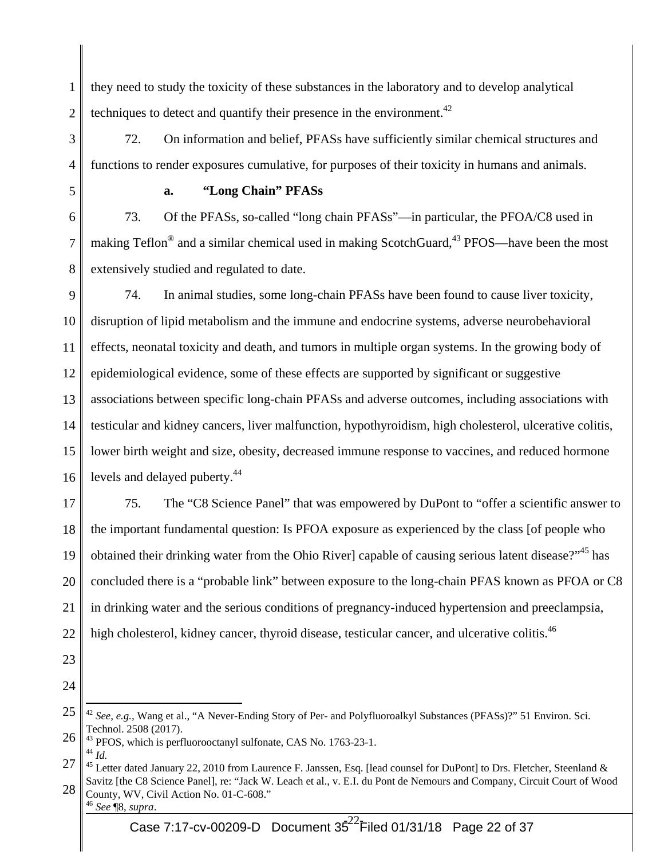1 2 they need to study the toxicity of these substances in the laboratory and to develop analytical techniques to detect and quantify their presence in the environment.<sup> $42$ </sup>

3 4 72. On information and belief, PFASs have sufficiently similar chemical structures and functions to render exposures cumulative, for purposes of their toxicity in humans and animals.

5

### **a. "Long Chain" PFASs**

6 7 8 73. Of the PFASs, so-called "long chain PFASs"—in particular, the PFOA/C8 used in making Teflon<sup>®</sup> and a similar chemical used in making ScotchGuard,<sup>43</sup> PFOS—have been the most extensively studied and regulated to date.

9 10 11 12 13 14 15 16 74. In animal studies, some long-chain PFASs have been found to cause liver toxicity, disruption of lipid metabolism and the immune and endocrine systems, adverse neurobehavioral effects, neonatal toxicity and death, and tumors in multiple organ systems. In the growing body of epidemiological evidence, some of these effects are supported by significant or suggestive associations between specific long-chain PFASs and adverse outcomes, including associations with testicular and kidney cancers, liver malfunction, hypothyroidism, high cholesterol, ulcerative colitis, lower birth weight and size, obesity, decreased immune response to vaccines, and reduced hormone levels and delayed puberty.<sup>44</sup>

17 18 19 20 21 22 75. The "C8 Science Panel" that was empowered by DuPont to "offer a scientific answer to the important fundamental question: Is PFOA exposure as experienced by the class [of people who obtained their drinking water from the Ohio River] capable of causing serious latent disease?"<sup>45</sup> has concluded there is a "probable link" between exposure to the long-chain PFAS known as PFOA or C8 in drinking water and the serious conditions of pregnancy-induced hypertension and preeclampsia, high cholesterol, kidney cancer, thyroid disease, testicular cancer, and ulcerative colitis.<sup>46</sup>

- 23
- 24

<sup>25</sup>  <sup>42</sup> See, e.g., Wang et al., "A Never-Ending Story of Per- and Polyfluoroalkyl Substances (PFASs)?" 51 Environ. Sci. Technol. 2508 (2017).

<sup>26</sup>  <sup>43</sup> PFOS, which is perfluorooctanyl sulfonate, CAS No. 1763-23-1. <sup>44</sup> *Id.* 

<sup>27</sup>  <sup>45</sup> Letter dated January 22, 2010 from Laurence F. Janssen, Esq. [lead counsel for DuPont] to Drs. Fletcher, Steenland & Savitz [the C8 Science Panel], re: "Jack W. Leach et al., v. E.I. du Pont de Nemours and Company, Circuit Court of Wood

<sup>28</sup>  County, WV, Civil Action No. 01-C-608." <sup>46</sup> *See* ¶8, *supra*.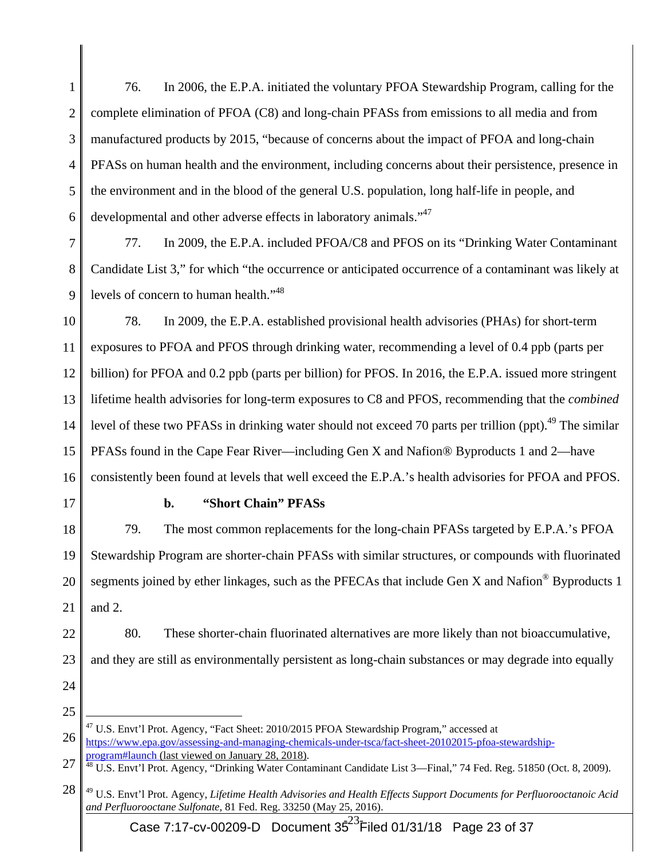1 2 3 4 5 6 76. In 2006, the E.P.A. initiated the voluntary PFOA Stewardship Program, calling for the complete elimination of PFOA (C8) and long-chain PFASs from emissions to all media and from manufactured products by 2015, "because of concerns about the impact of PFOA and long-chain PFASs on human health and the environment, including concerns about their persistence, presence in the environment and in the blood of the general U.S. population, long half-life in people, and developmental and other adverse effects in laboratory animals."<sup>47</sup>

7 8 9 77. In 2009, the E.P.A. included PFOA/C8 and PFOS on its "Drinking Water Contaminant Candidate List 3," for which "the occurrence or anticipated occurrence of a contaminant was likely at levels of concern to human health."<sup>48</sup>

10 11 12 13 14 15 16 78. In 2009, the E.P.A. established provisional health advisories (PHAs) for short-term exposures to PFOA and PFOS through drinking water, recommending a level of 0.4 ppb (parts per billion) for PFOA and 0.2 ppb (parts per billion) for PFOS. In 2016, the E.P.A. issued more stringent lifetime health advisories for long-term exposures to C8 and PFOS, recommending that the *combined* level of these two PFASs in drinking water should not exceed 70 parts per trillion (ppt).<sup>49</sup> The similar PFASs found in the Cape Fear River—including Gen X and Nafion® Byproducts 1 and 2—have consistently been found at levels that well exceed the E.P.A.'s health advisories for PFOA and PFOS.

17

### **b. "Short Chain" PFASs**

18 19 20 21 79. The most common replacements for the long-chain PFASs targeted by E.P.A.'s PFOA Stewardship Program are shorter-chain PFASs with similar structures, or compounds with fluorinated segments joined by ether linkages, such as the PFECAs that include Gen X and Nafion® Byproducts 1 and 2.

- 22 23 80. These shorter-chain fluorinated alternatives are more likely than not bioaccumulative, and they are still as environmentally persistent as long-chain substances or may degrade into equally
- 24
- 25

<sup>26</sup>   $^{47}$  U.S. Envt'l Prot. Agency, "Fact Sheet: 2010/2015 PFOA Stewardship Program," accessed at https://www.epa.gov/assessing-and-managing-chemicals-under-tsca/fact-sheet-20102015-pfoa-stewardshipprogram#launch (last viewed on January 28, 2018).

<sup>27</sup>  <sup>48</sup> U.S. Envt'l Prot. Agency, "Drinking Water Contaminant Candidate List 3—Final," 74 Fed. Reg. 51850 (Oct. 8, 2009).

<sup>28</sup>  49 U.S. Envt'l Prot. Agency, *Lifetime Health Advisories and Health Effects Support Documents for Perfluorooctanoic Acid and Perfluorooctane Sulfonate*, 81 Fed. Reg. 33250 (May 25, 2016).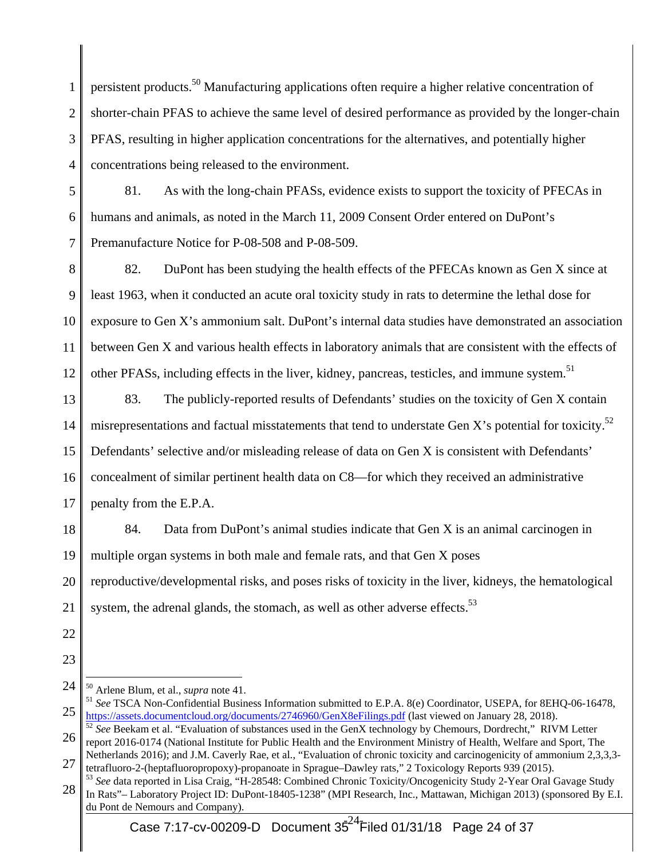1 2 3 4 persistent products.50 Manufacturing applications often require a higher relative concentration of shorter-chain PFAS to achieve the same level of desired performance as provided by the longer-chain PFAS, resulting in higher application concentrations for the alternatives, and potentially higher concentrations being released to the environment.

5 6 7 81. As with the long-chain PFASs, evidence exists to support the toxicity of PFECAs in humans and animals, as noted in the March 11, 2009 Consent Order entered on DuPont's Premanufacture Notice for P-08-508 and P-08-509.

8 9 10 11 12 82. DuPont has been studying the health effects of the PFECAs known as Gen X since at least 1963, when it conducted an acute oral toxicity study in rats to determine the lethal dose for exposure to Gen X's ammonium salt. DuPont's internal data studies have demonstrated an association between Gen X and various health effects in laboratory animals that are consistent with the effects of other PFASs, including effects in the liver, kidney, pancreas, testicles, and immune system.<sup>51</sup>

- 13 14 15 16 17 83. The publicly-reported results of Defendants' studies on the toxicity of Gen X contain misrepresentations and factual misstatements that tend to understate Gen X's potential for toxicity.<sup>52</sup> Defendants' selective and/or misleading release of data on Gen X is consistent with Defendants' concealment of similar pertinent health data on C8—for which they received an administrative penalty from the E.P.A.
- 18 19 84. Data from DuPont's animal studies indicate that Gen X is an animal carcinogen in multiple organ systems in both male and female rats, and that Gen X poses

20 reproductive/developmental risks, and poses risks of toxicity in the liver, kidneys, the hematological

- 21 system, the adrenal glands, the stomach, as well as other adverse effects.<sup>53</sup>
- 22
- 23
- 24  $\overline{a}$

<sup>25</sup>  <sup>50</sup> Arlene Blum, et al., *supra* note 41.<br><sup>51</sup> *See* TSCA Non-Confidential Business Information submitted to E.P.A. 8(e) Coordinator, USEPA, for 8EHQ-06-16478, https://assets.documentcloud.org/documents/2746960/GenX8eFilings.pdf (last viewed on January 28, 2018). 52 *See* Beekam et al. "Evaluation of substances used in the GenX technology by Chemours, Dordrecht," RIVM Letter

<sup>26</sup>  report 2016-0174 (National Institute for Public Health and the Environment Ministry of Health, Welfare and Sport, The

<sup>27</sup>  Netherlands 2016); and J.M. Caverly Rae, et al., "Evaluation of chronic toxicity and carcinogenicity of ammonium 2,3,3,3 tetrafluoro-2-(heptafluoropropoxy)-propanoate in Sprague–Dawley rats," 2 Toxicology Reports 939 (2015).

<sup>28</sup>  <sup>53</sup> *See* data reported in Lisa Craig, "H-28548: Combined Chronic Toxicity/Oncogenicity Study 2-Year Oral Gavage Study In Rats"– Laboratory Project ID: DuPont-18405-1238" (MPI Research, Inc., Mattawan, Michigan 2013) (sponsored By E.I. du Pont de Nemours and Company).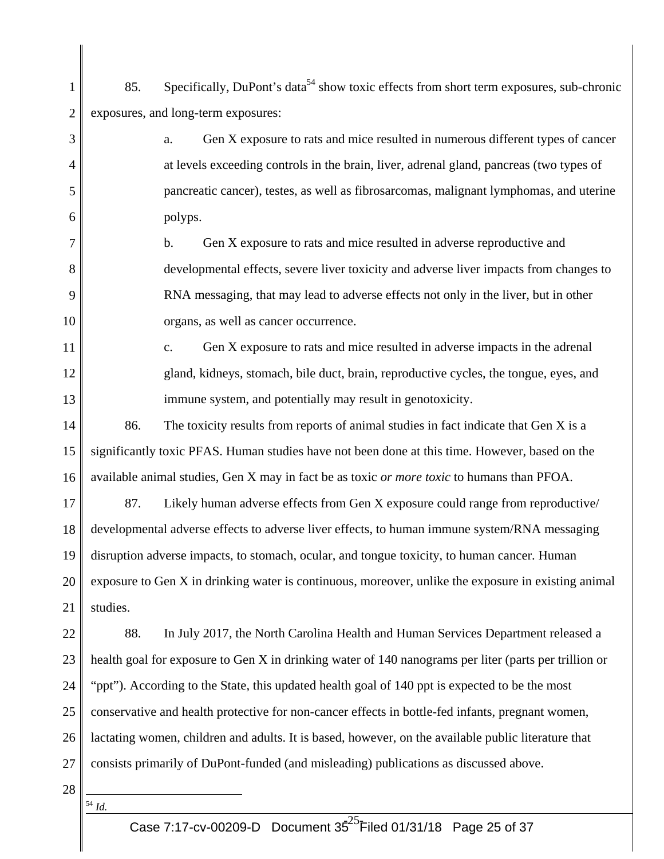- 1 2 85. Specifically, DuPont's data<sup>54</sup> show toxic effects from short term exposures, sub-chronic exposures, and long-term exposures:
	- a. Gen X exposure to rats and mice resulted in numerous different types of cancer at levels exceeding controls in the brain, liver, adrenal gland, pancreas (two types of pancreatic cancer), testes, as well as fibrosarcomas, malignant lymphomas, and uterine polyps.
- 7 8 9 10 b. Gen X exposure to rats and mice resulted in adverse reproductive and developmental effects, severe liver toxicity and adverse liver impacts from changes to RNA messaging, that may lead to adverse effects not only in the liver, but in other organs, as well as cancer occurrence.
- 11 12 13 c. Gen X exposure to rats and mice resulted in adverse impacts in the adrenal gland, kidneys, stomach, bile duct, brain, reproductive cycles, the tongue, eyes, and immune system, and potentially may result in genotoxicity.
- 14 15 16 86. The toxicity results from reports of animal studies in fact indicate that Gen X is a significantly toxic PFAS. Human studies have not been done at this time. However, based on the available animal studies, Gen X may in fact be as toxic *or more toxic* to humans than PFOA.
- 17 18 19 20 21 87. Likely human adverse effects from Gen X exposure could range from reproductive/ developmental adverse effects to adverse liver effects, to human immune system/RNA messaging disruption adverse impacts, to stomach, ocular, and tongue toxicity, to human cancer. Human exposure to Gen X in drinking water is continuous, moreover, unlike the exposure in existing animal studies.
- 22 23 24 25 26 27 88. In July 2017, the North Carolina Health and Human Services Department released a health goal for exposure to Gen X in drinking water of 140 nanograms per liter (parts per trillion or "ppt"). According to the State, this updated health goal of 140 ppt is expected to be the most conservative and health protective for non-cancer effects in bottle-fed infants, pregnant women, lactating women, children and adults. It is based, however, on the available public literature that consists primarily of DuPont-funded (and misleading) publications as discussed above.
- 28

 $\overline{a}$ <sup>54</sup> *Id.* 

3

4

5

6

Case 7:17-cv-00209-D Document 3 $\bar{5}^{25}$ Filed 01/31/18 Page 25 of 37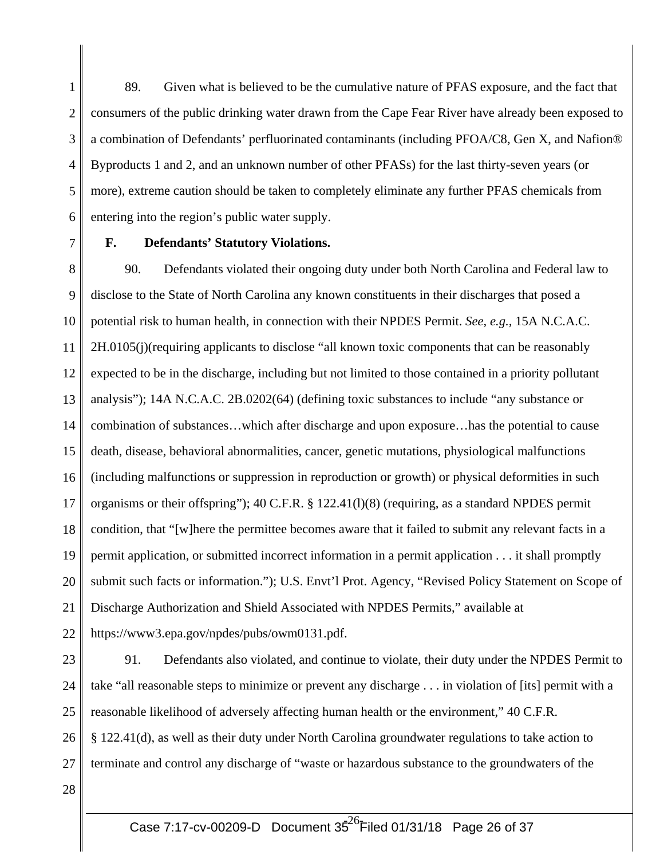1 2 3 4 5 6 89. Given what is believed to be the cumulative nature of PFAS exposure, and the fact that consumers of the public drinking water drawn from the Cape Fear River have already been exposed to a combination of Defendants' perfluorinated contaminants (including PFOA/C8, Gen X, and Nafion® Byproducts 1 and 2, and an unknown number of other PFASs) for the last thirty-seven years (or more), extreme caution should be taken to completely eliminate any further PFAS chemicals from entering into the region's public water supply.

7

#### **F. Defendants' Statutory Violations.**

8 9 10 11 12 13 14 15 16 17 18 19 20 21 22 90. Defendants violated their ongoing duty under both North Carolina and Federal law to disclose to the State of North Carolina any known constituents in their discharges that posed a potential risk to human health, in connection with their NPDES Permit. *See, e.g.,* 15A N.C.A.C. 2H.0105(j)(requiring applicants to disclose "all known toxic components that can be reasonably expected to be in the discharge, including but not limited to those contained in a priority pollutant analysis"); 14A N.C.A.C. 2B.0202(64) (defining toxic substances to include "any substance or combination of substances…which after discharge and upon exposure…has the potential to cause death, disease, behavioral abnormalities, cancer, genetic mutations, physiological malfunctions (including malfunctions or suppression in reproduction or growth) or physical deformities in such organisms or their offspring"); 40 C.F.R. § 122.41(l)(8) (requiring, as a standard NPDES permit condition, that "[w]here the permittee becomes aware that it failed to submit any relevant facts in a permit application, or submitted incorrect information in a permit application . . . it shall promptly submit such facts or information."); U.S. Envt'l Prot. Agency, "Revised Policy Statement on Scope of Discharge Authorization and Shield Associated with NPDES Permits," available at https://www3.epa.gov/npdes/pubs/owm0131.pdf.

23 24 25 26 91. Defendants also violated, and continue to violate, their duty under the NPDES Permit to take "all reasonable steps to minimize or prevent any discharge . . . in violation of [its] permit with a reasonable likelihood of adversely affecting human health or the environment," 40 C.F.R. § 122.41(d), as well as their duty under North Carolina groundwater regulations to take action to

- 27 terminate and control any discharge of "waste or hazardous substance to the groundwaters of the
- 28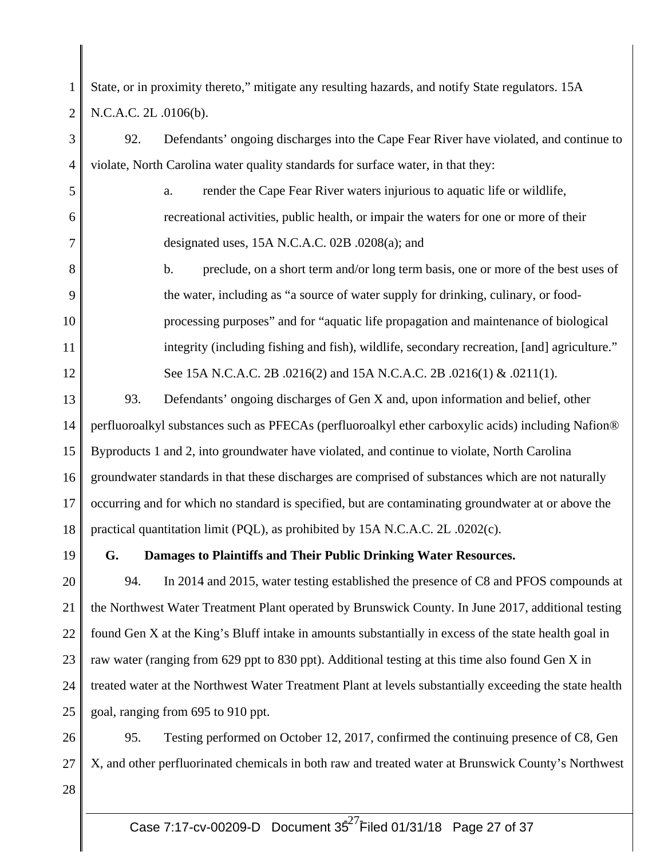1 2 State, or in proximity thereto," mitigate any resulting hazards, and notify State regulators. 15A N.C.A.C. 2L .0106(b).

3 4 5 6 7 8 9 10 11 12 13 14 15 16 17 18 19 20 21 92. Defendants' ongoing discharges into the Cape Fear River have violated, and continue to violate, North Carolina water quality standards for surface water, in that they: a. render the Cape Fear River waters injurious to aquatic life or wildlife, recreational activities, public health, or impair the waters for one or more of their designated uses, 15A N.C.A.C. 02B .0208(a); and b. preclude, on a short term and/or long term basis, one or more of the best uses of the water, including as "a source of water supply for drinking, culinary, or foodprocessing purposes" and for "aquatic life propagation and maintenance of biological integrity (including fishing and fish), wildlife, secondary recreation, [and] agriculture." See 15A N.C.A.C. 2B .0216(2) and 15A N.C.A.C. 2B .0216(1) & .0211(1). 93. Defendants' ongoing discharges of Gen X and, upon information and belief, other perfluoroalkyl substances such as PFECAs (perfluoroalkyl ether carboxylic acids) including Nafion® Byproducts 1 and 2, into groundwater have violated, and continue to violate, North Carolina groundwater standards in that these discharges are comprised of substances which are not naturally occurring and for which no standard is specified, but are contaminating groundwater at or above the practical quantitation limit (PQL), as prohibited by 15A N.C.A.C. 2L .0202(c). **G. Damages to Plaintiffs and Their Public Drinking Water Resources.**  94. In 2014 and 2015, water testing established the presence of C8 and PFOS compounds at the Northwest Water Treatment Plant operated by Brunswick County. In June 2017, additional testing

22 23 found Gen X at the King's Bluff intake in amounts substantially in excess of the state health goal in raw water (ranging from 629 ppt to 830 ppt). Additional testing at this time also found Gen X in

24 25 treated water at the Northwest Water Treatment Plant at levels substantially exceeding the state health goal, ranging from 695 to 910 ppt.

26 27 28 95. Testing performed on October 12, 2017, confirmed the continuing presence of C8, Gen X, and other perfluorinated chemicals in both raw and treated water at Brunswick County's Northwest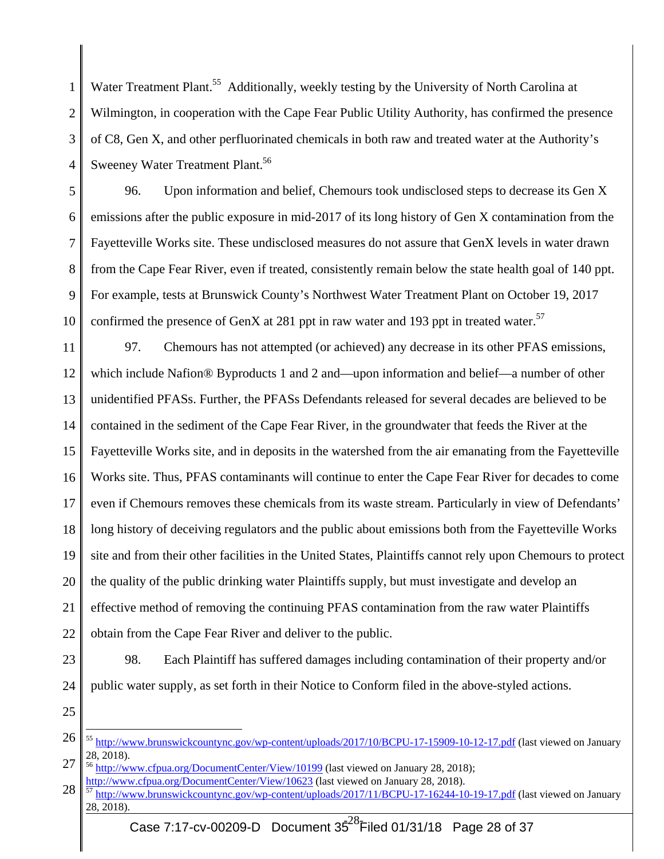1 2 3 4 Water Treatment Plant.<sup>55</sup> Additionally, weekly testing by the University of North Carolina at Wilmington, in cooperation with the Cape Fear Public Utility Authority, has confirmed the presence of C8, Gen X, and other perfluorinated chemicals in both raw and treated water at the Authority's Sweeney Water Treatment Plant.<sup>56</sup>

5 6 7 8 9 10 96. Upon information and belief, Chemours took undisclosed steps to decrease its Gen X emissions after the public exposure in mid-2017 of its long history of Gen X contamination from the Fayetteville Works site. These undisclosed measures do not assure that GenX levels in water drawn from the Cape Fear River, even if treated, consistently remain below the state health goal of 140 ppt. For example, tests at Brunswick County's Northwest Water Treatment Plant on October 19, 2017 confirmed the presence of GenX at 281 ppt in raw water and 193 ppt in treated water.<sup>57</sup>

11 12 13 14 15 16 17 18 19 20 21 22 97. Chemours has not attempted (or achieved) any decrease in its other PFAS emissions, which include Nafion® Byproducts 1 and 2 and—upon information and belief—a number of other unidentified PFASs. Further, the PFASs Defendants released for several decades are believed to be contained in the sediment of the Cape Fear River, in the groundwater that feeds the River at the Fayetteville Works site, and in deposits in the watershed from the air emanating from the Fayetteville Works site. Thus, PFAS contaminants will continue to enter the Cape Fear River for decades to come even if Chemours removes these chemicals from its waste stream. Particularly in view of Defendants' long history of deceiving regulators and the public about emissions both from the Fayetteville Works site and from their other facilities in the United States, Plaintiffs cannot rely upon Chemours to protect the quality of the public drinking water Plaintiffs supply, but must investigate and develop an effective method of removing the continuing PFAS contamination from the raw water Plaintiffs obtain from the Cape Fear River and deliver to the public.

23

24 98. Each Plaintiff has suffered damages including contamination of their property and/or public water supply, as set forth in their Notice to Conform filed in the above-styled actions.

25

<sup>26</sup>  <sup>55</sup> http://www.brunswickcountync.gov/wp-content/uploads/2017/10/BCPU-17-15909-10-12-17.pdf (last viewed on January 28, 2018).

<sup>27</sup>  <sup>56</sup> http://www.cfpua.org/DocumentCenter/View/10199 (last viewed on January 28, 2018);

<sup>28</sup>  http://www.cfpua.org/DocumentCenter/View/10623 (last viewed on January 28, 2018).<br><sup>57</sup> http://www.brunswickcountync.gov/wp-content/uploads/2017/11/BCPU-17-16244-10-19-17.pdf (last viewed on January 28, 2018).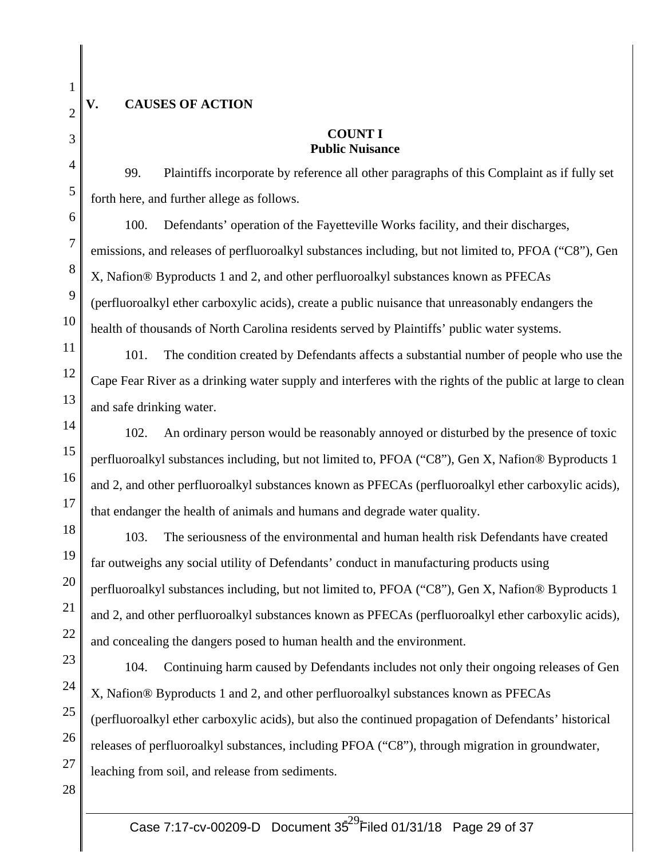3

4

5

6

7

8

9

10

11

12

13

14

15

16

17

19

20

21

22

# **V. CAUSES OF ACTION**

# **COUNT I Public Nuisance**

99. Plaintiffs incorporate by reference all other paragraphs of this Complaint as if fully set forth here, and further allege as follows.

100. Defendants' operation of the Fayetteville Works facility, and their discharges, emissions, and releases of perfluoroalkyl substances including, but not limited to, PFOA ("C8"), Gen X, Nafion® Byproducts 1 and 2, and other perfluoroalkyl substances known as PFECAs (perfluoroalkyl ether carboxylic acids), create a public nuisance that unreasonably endangers the health of thousands of North Carolina residents served by Plaintiffs' public water systems.

101. The condition created by Defendants affects a substantial number of people who use the Cape Fear River as a drinking water supply and interferes with the rights of the public at large to clean and safe drinking water.

102. An ordinary person would be reasonably annoyed or disturbed by the presence of toxic perfluoroalkyl substances including, but not limited to, PFOA ("C8"), Gen X, Nafion® Byproducts 1 and 2, and other perfluoroalkyl substances known as PFECAs (perfluoroalkyl ether carboxylic acids), that endanger the health of animals and humans and degrade water quality.

18 103. The seriousness of the environmental and human health risk Defendants have created far outweighs any social utility of Defendants' conduct in manufacturing products using perfluoroalkyl substances including, but not limited to, PFOA ("C8"), Gen X, Nafion® Byproducts 1 and 2, and other perfluoroalkyl substances known as PFECAs (perfluoroalkyl ether carboxylic acids), and concealing the dangers posed to human health and the environment.

23 24 25 26 104. Continuing harm caused by Defendants includes not only their ongoing releases of Gen X, Nafion® Byproducts 1 and 2, and other perfluoroalkyl substances known as PFECAs (perfluoroalkyl ether carboxylic acids), but also the continued propagation of Defendants' historical releases of perfluoroalkyl substances, including PFOA ("C8"), through migration in groundwater, leaching from soil, and release from sediments.

28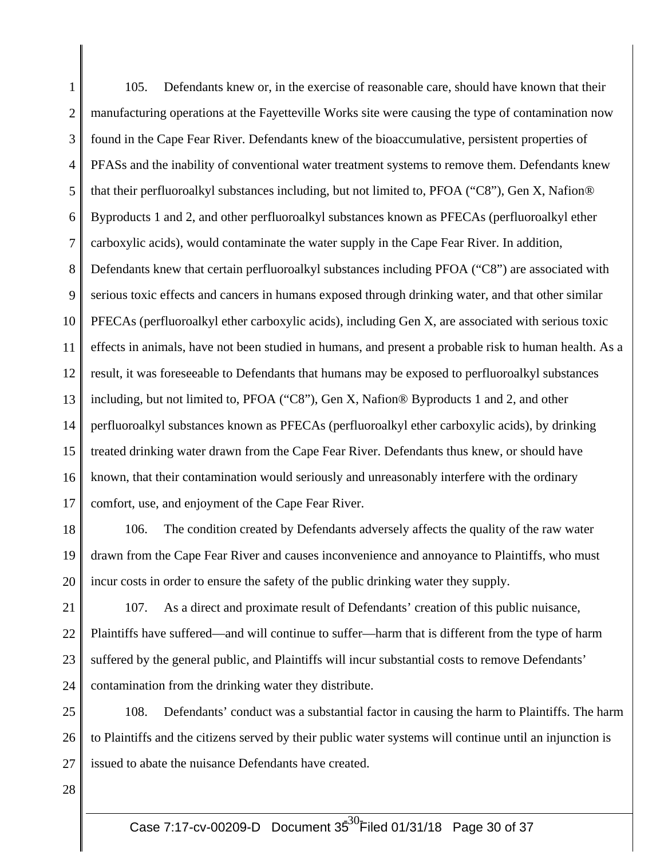1 2 3 4 5 6 7 8 9 10 11 12 13 14 15 16 17 105. Defendants knew or, in the exercise of reasonable care, should have known that their manufacturing operations at the Fayetteville Works site were causing the type of contamination now found in the Cape Fear River. Defendants knew of the bioaccumulative, persistent properties of PFASs and the inability of conventional water treatment systems to remove them. Defendants knew that their perfluoroalkyl substances including, but not limited to, PFOA ("C8"), Gen X, Nafion® Byproducts 1 and 2, and other perfluoroalkyl substances known as PFECAs (perfluoroalkyl ether carboxylic acids), would contaminate the water supply in the Cape Fear River. In addition, Defendants knew that certain perfluoroalkyl substances including PFOA ("C8") are associated with serious toxic effects and cancers in humans exposed through drinking water, and that other similar PFECAs (perfluoroalkyl ether carboxylic acids), including Gen X, are associated with serious toxic effects in animals, have not been studied in humans, and present a probable risk to human health. As a result, it was foreseeable to Defendants that humans may be exposed to perfluoroalkyl substances including, but not limited to, PFOA ("C8"), Gen X, Nafion® Byproducts 1 and 2, and other perfluoroalkyl substances known as PFECAs (perfluoroalkyl ether carboxylic acids), by drinking treated drinking water drawn from the Cape Fear River. Defendants thus knew, or should have known, that their contamination would seriously and unreasonably interfere with the ordinary comfort, use, and enjoyment of the Cape Fear River.

18 19 20 106. The condition created by Defendants adversely affects the quality of the raw water drawn from the Cape Fear River and causes inconvenience and annoyance to Plaintiffs, who must incur costs in order to ensure the safety of the public drinking water they supply.

21 22 23 24 107. As a direct and proximate result of Defendants' creation of this public nuisance, Plaintiffs have suffered—and will continue to suffer—harm that is different from the type of harm suffered by the general public, and Plaintiffs will incur substantial costs to remove Defendants' contamination from the drinking water they distribute.

25 26 27 108. Defendants' conduct was a substantial factor in causing the harm to Plaintiffs. The harm to Plaintiffs and the citizens served by their public water systems will continue until an injunction is issued to abate the nuisance Defendants have created.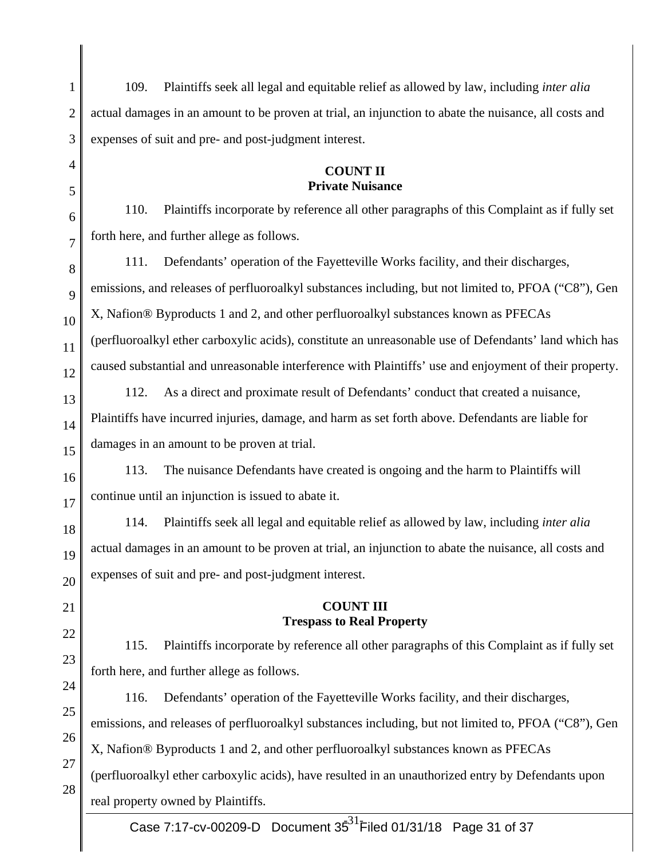| $\mathbf{1}$   | Plaintiffs seek all legal and equitable relief as allowed by law, including <i>inter alia</i><br>109.  |  |  |
|----------------|--------------------------------------------------------------------------------------------------------|--|--|
| $\overline{2}$ | actual damages in an amount to be proven at trial, an injunction to abate the nuisance, all costs and  |  |  |
| 3              | expenses of suit and pre- and post-judgment interest.                                                  |  |  |
| 4              | <b>COUNT II</b>                                                                                        |  |  |
| 5              | <b>Private Nuisance</b>                                                                                |  |  |
| 6              | 110.<br>Plaintiffs incorporate by reference all other paragraphs of this Complaint as if fully set     |  |  |
| 7              | forth here, and further allege as follows.                                                             |  |  |
| 8              | 111.<br>Defendants' operation of the Fayetteville Works facility, and their discharges,                |  |  |
| 9              | emissions, and releases of perfluoroalkyl substances including, but not limited to, PFOA ("C8"), Gen   |  |  |
| 10             | X, Nafion® Byproducts 1 and 2, and other perfluoroalkyl substances known as PFECAs                     |  |  |
| 11             | (perfluoroalkyl ether carboxylic acids), constitute an unreasonable use of Defendants' land which has  |  |  |
| 12             | caused substantial and unreasonable interference with Plaintiffs' use and enjoyment of their property. |  |  |
| 13             | 112.<br>As a direct and proximate result of Defendants' conduct that created a nuisance,               |  |  |
| 14             | Plaintiffs have incurred injuries, damage, and harm as set forth above. Defendants are liable for      |  |  |
| 15             | damages in an amount to be proven at trial.                                                            |  |  |
| 16             | 113.<br>The nuisance Defendants have created is ongoing and the harm to Plaintiffs will                |  |  |
| 17             | continue until an injunction is issued to abate it.                                                    |  |  |
| 18             | Plaintiffs seek all legal and equitable relief as allowed by law, including <i>inter alia</i><br>114.  |  |  |
| 19             | actual damages in an amount to be proven at trial, an injunction to abate the nuisance, all costs and  |  |  |
| 20             | expenses of suit and pre- and post-judgment interest.                                                  |  |  |
| 21             | <b>COUNT III</b>                                                                                       |  |  |
| 22             | <b>Trespass to Real Property</b>                                                                       |  |  |
| 23             | 115.<br>Plaintiffs incorporate by reference all other paragraphs of this Complaint as if fully set     |  |  |
| 24             | forth here, and further allege as follows.                                                             |  |  |
| 25             | 116.<br>Defendants' operation of the Fayetteville Works facility, and their discharges,                |  |  |
|                | emissions, and releases of perfluoroalkyl substances including, but not limited to, PFOA ("C8"), Gen   |  |  |
| 26<br>27       | X, Nafion® Byproducts 1 and 2, and other perfluoroalkyl substances known as PFECAs                     |  |  |
| 28             | (perfluoroalkyl ether carboxylic acids), have resulted in an unauthorized entry by Defendants upon     |  |  |
|                | real property owned by Plaintiffs.                                                                     |  |  |

 $\parallel$ 

║

Case 7:17-cv-00209-D Document  $35^{31}$ Filed 01/31/18 Page 31 of 37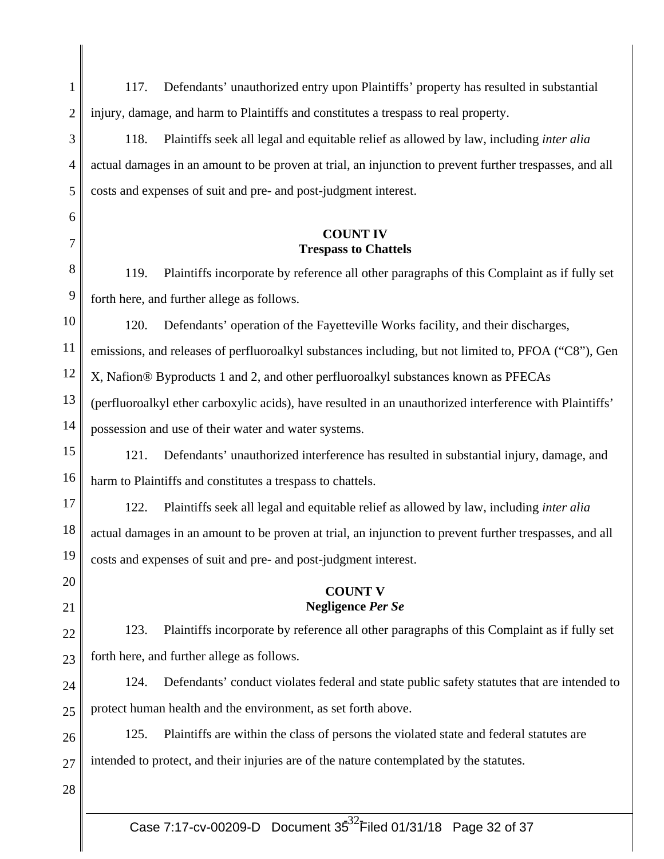| $\mathbf{1}$   | Defendants' unauthorized entry upon Plaintiffs' property has resulted in substantial<br>117.            |  |  |
|----------------|---------------------------------------------------------------------------------------------------------|--|--|
| $\overline{2}$ | injury, damage, and harm to Plaintiffs and constitutes a trespass to real property.                     |  |  |
| 3              | 118.<br>Plaintiffs seek all legal and equitable relief as allowed by law, including <i>inter alia</i>   |  |  |
| 4              | actual damages in an amount to be proven at trial, an injunction to prevent further trespasses, and all |  |  |
| 5              | costs and expenses of suit and pre- and post-judgment interest.                                         |  |  |
| 6              |                                                                                                         |  |  |
| 7              | <b>COUNT IV</b><br><b>Trespass to Chattels</b>                                                          |  |  |
| 8              | Plaintiffs incorporate by reference all other paragraphs of this Complaint as if fully set<br>119.      |  |  |
| 9              | forth here, and further allege as follows.                                                              |  |  |
| 10             | 120.<br>Defendants' operation of the Fayetteville Works facility, and their discharges,                 |  |  |
| 11             | emissions, and releases of perfluoroalkyl substances including, but not limited to, PFOA ("C8"), Gen    |  |  |
| 12             | X, Nafion® Byproducts 1 and 2, and other perfluoroalkyl substances known as PFECAs                      |  |  |
| 13             | (perfluoroalkyl ether carboxylic acids), have resulted in an unauthorized interference with Plaintiffs' |  |  |
| 14             | possession and use of their water and water systems.                                                    |  |  |
| 15             | Defendants' unauthorized interference has resulted in substantial injury, damage, and<br>121.           |  |  |
| 16             | harm to Plaintiffs and constitutes a trespass to chattels.                                              |  |  |
| 17             | Plaintiffs seek all legal and equitable relief as allowed by law, including <i>inter alia</i><br>122.   |  |  |
| 18             | actual damages in an amount to be proven at trial, an injunction to prevent further trespasses, and all |  |  |
| 19             | costs and expenses of suit and pre- and post-judgment interest.                                         |  |  |
| 20             | <b>COUNT V</b>                                                                                          |  |  |
| 21             | <b>Negligence Per Se</b>                                                                                |  |  |
| 22             | Plaintiffs incorporate by reference all other paragraphs of this Complaint as if fully set<br>123.      |  |  |
| 23             | forth here, and further allege as follows.                                                              |  |  |
| 24             | 124.<br>Defendants' conduct violates federal and state public safety statutes that are intended to      |  |  |
| 25             | protect human health and the environment, as set forth above.                                           |  |  |
| 26             | 125.<br>Plaintiffs are within the class of persons the violated state and federal statutes are          |  |  |
| 27             | intended to protect, and their injuries are of the nature contemplated by the statutes.                 |  |  |
| 28             |                                                                                                         |  |  |
|                |                                                                                                         |  |  |

∥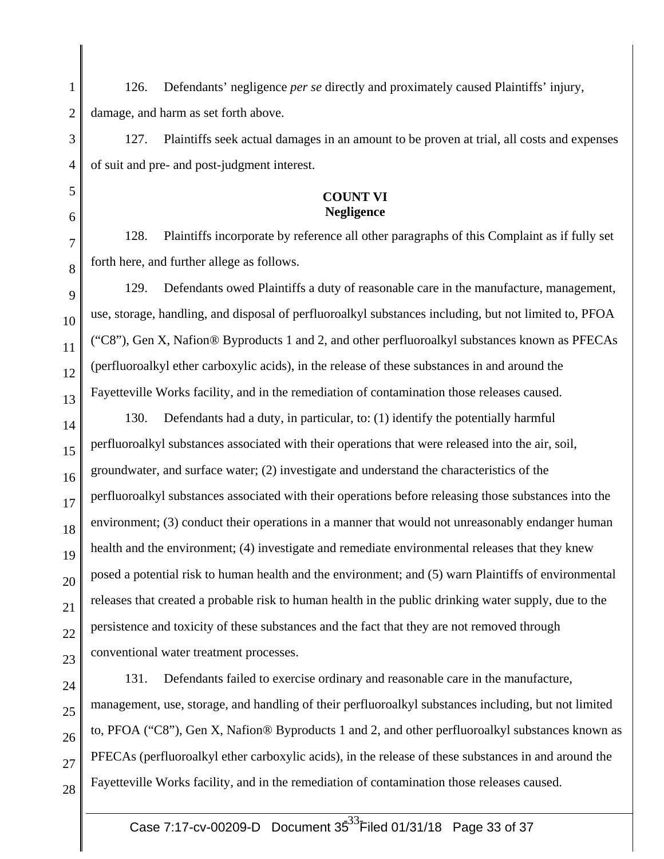1 2 126. Defendants' negligence *per se* directly and proximately caused Plaintiffs' injury, damage, and harm as set forth above.

3 4 127. Plaintiffs seek actual damages in an amount to be proven at trial, all costs and expenses of suit and pre- and post-judgment interest.

#### **COUNT VI Negligence**

128. Plaintiffs incorporate by reference all other paragraphs of this Complaint as if fully set forth here, and further allege as follows.

9 10 11 12 13 129. Defendants owed Plaintiffs a duty of reasonable care in the manufacture, management, use, storage, handling, and disposal of perfluoroalkyl substances including, but not limited to, PFOA ("C8"), Gen X, Nafion® Byproducts 1 and 2, and other perfluoroalkyl substances known as PFECAs (perfluoroalkyl ether carboxylic acids), in the release of these substances in and around the Fayetteville Works facility, and in the remediation of contamination those releases caused.

14 15 16 17 18 19 20 21 22 23 130. Defendants had a duty, in particular, to: (1) identify the potentially harmful perfluoroalkyl substances associated with their operations that were released into the air, soil, groundwater, and surface water; (2) investigate and understand the characteristics of the perfluoroalkyl substances associated with their operations before releasing those substances into the environment; (3) conduct their operations in a manner that would not unreasonably endanger human health and the environment; (4) investigate and remediate environmental releases that they knew posed a potential risk to human health and the environment; and (5) warn Plaintiffs of environmental releases that created a probable risk to human health in the public drinking water supply, due to the persistence and toxicity of these substances and the fact that they are not removed through conventional water treatment processes.

24 25 26 27 131. Defendants failed to exercise ordinary and reasonable care in the manufacture, management, use, storage, and handling of their perfluoroalkyl substances including, but not limited to, PFOA ("C8"), Gen X, Nafion® Byproducts 1 and 2, and other perfluoroalkyl substances known as PFECAs (perfluoroalkyl ether carboxylic acids), in the release of these substances in and around the Fayetteville Works facility, and in the remediation of contamination those releases caused.

28

5

6

7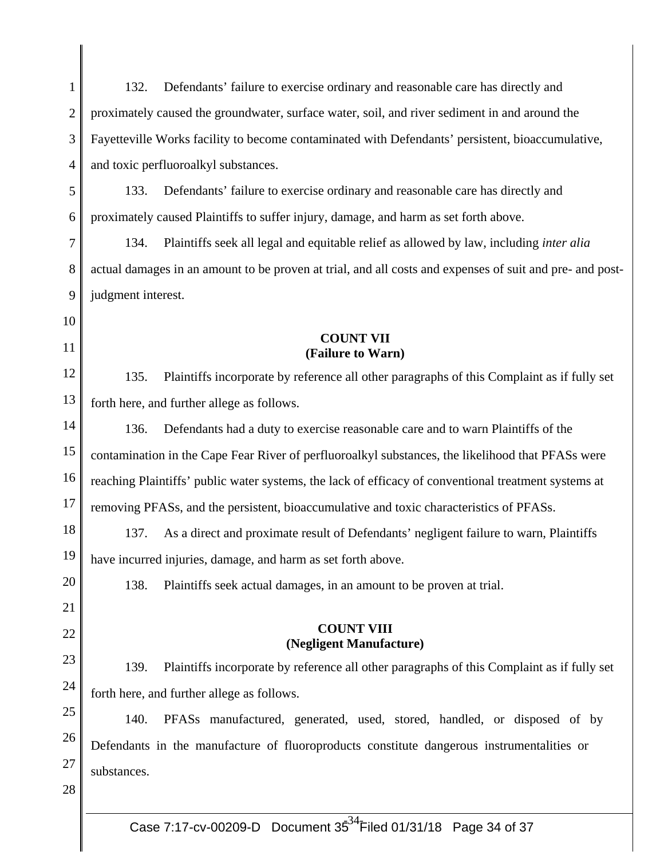| 1  | 132.                                                                                                     | Defendants' failure to exercise ordinary and reasonable care has directly and                     |  |
|----|----------------------------------------------------------------------------------------------------------|---------------------------------------------------------------------------------------------------|--|
| 2  | proximately caused the groundwater, surface water, soil, and river sediment in and around the            |                                                                                                   |  |
| 3  | Fayetteville Works facility to become contaminated with Defendants' persistent, bioaccumulative,         |                                                                                                   |  |
| 4  |                                                                                                          | and toxic perfluoroalkyl substances.                                                              |  |
| 5  | 133.                                                                                                     | Defendants' failure to exercise ordinary and reasonable care has directly and                     |  |
| 6  |                                                                                                          | proximately caused Plaintiffs to suffer injury, damage, and harm as set forth above.              |  |
| 7  | 134.                                                                                                     | Plaintiffs seek all legal and equitable relief as allowed by law, including <i>inter alia</i>     |  |
| 8  | actual damages in an amount to be proven at trial, and all costs and expenses of suit and pre- and post- |                                                                                                   |  |
| 9  | judgment interest.                                                                                       |                                                                                                   |  |
| 10 |                                                                                                          |                                                                                                   |  |
| 11 |                                                                                                          | <b>COUNT VII</b><br>(Failure to Warn)                                                             |  |
| 12 | 135.                                                                                                     | Plaintiffs incorporate by reference all other paragraphs of this Complaint as if fully set        |  |
| 13 | forth here, and further allege as follows.                                                               |                                                                                                   |  |
| 14 | 136.                                                                                                     | Defendants had a duty to exercise reasonable care and to warn Plaintiffs of the                   |  |
| 15 |                                                                                                          | contamination in the Cape Fear River of perfluoroalkyl substances, the likelihood that PFASs were |  |
| 16 | reaching Plaintiffs' public water systems, the lack of efficacy of conventional treatment systems at     |                                                                                                   |  |
| 17 | removing PFASs, and the persistent, bioaccumulative and toxic characteristics of PFASs.                  |                                                                                                   |  |
| 18 | 137.                                                                                                     | As a direct and proximate result of Defendants' negligent failure to warn, Plaintiffs             |  |
| 19 |                                                                                                          | have incurred injuries, damage, and harm as set forth above.                                      |  |
| 20 | 138.                                                                                                     | Plaintiffs seek actual damages, in an amount to be proven at trial.                               |  |
| 21 |                                                                                                          |                                                                                                   |  |
| 22 |                                                                                                          | <b>COUNT VIII</b><br>(Negligent Manufacture)                                                      |  |
| 23 | 139.                                                                                                     | Plaintiffs incorporate by reference all other paragraphs of this Complaint as if fully set        |  |
| 24 |                                                                                                          | forth here, and further allege as follows.                                                        |  |
| 25 | 140.                                                                                                     | PFASs manufactured, generated, used, stored, handled, or disposed of by                           |  |
| 26 |                                                                                                          | Defendants in the manufacture of fluoroproducts constitute dangerous instrumentalities or         |  |
| 27 | substances.                                                                                              |                                                                                                   |  |
| 28 |                                                                                                          |                                                                                                   |  |
|    |                                                                                                          |                                                                                                   |  |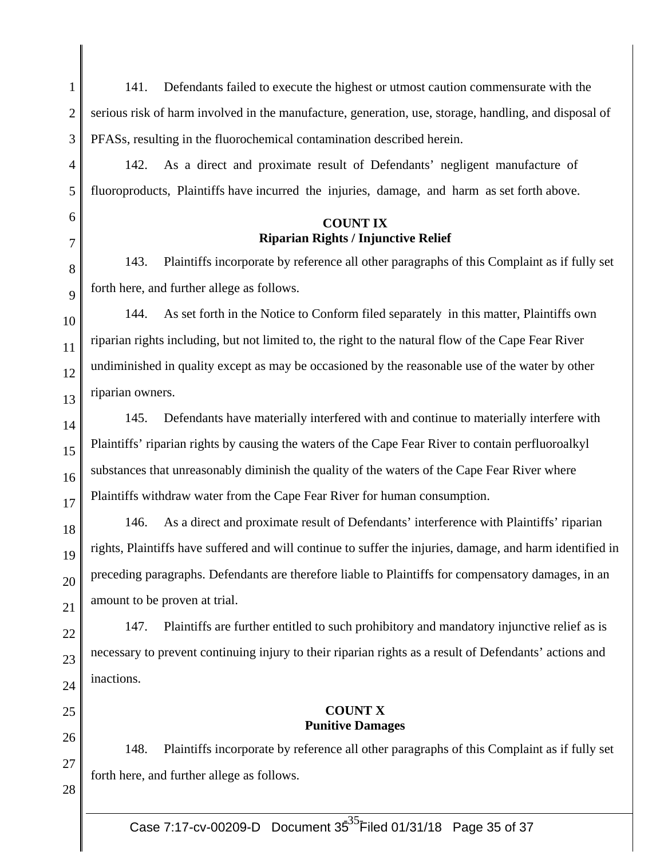| 1      | 141.<br>Defendants failed to execute the highest or utmost caution commensurate with the                  |
|--------|-----------------------------------------------------------------------------------------------------------|
| 2      | serious risk of harm involved in the manufacture, generation, use, storage, handling, and disposal of     |
| 3      | PFASs, resulting in the fluorochemical contamination described herein.                                    |
| 4      | As a direct and proximate result of Defendants' negligent manufacture of<br>142.                          |
| 5      | fluoroproducts, Plaintiffs have incurred the injuries, damage, and harm as set forth above.               |
| 6<br>7 | <b>COUNT IX</b><br><b>Riparian Rights / Injunctive Relief</b>                                             |
| 8      | Plaintiffs incorporate by reference all other paragraphs of this Complaint as if fully set<br>143.        |
| 9      | forth here, and further allege as follows.                                                                |
| 10     | As set forth in the Notice to Conform filed separately in this matter, Plaintiffs own<br>144.             |
| 11     | riparian rights including, but not limited to, the right to the natural flow of the Cape Fear River       |
| 12     | undiminished in quality except as may be occasioned by the reasonable use of the water by other           |
| 13     | riparian owners.                                                                                          |
| 14     | Defendants have materially interfered with and continue to materially interfere with<br>145.              |
| 15     | Plaintiffs' riparian rights by causing the waters of the Cape Fear River to contain perfluoroalkyl        |
| 16     | substances that unreasonably diminish the quality of the waters of the Cape Fear River where              |
| 17     | Plaintiffs withdraw water from the Cape Fear River for human consumption.                                 |
| 18     | As a direct and proximate result of Defendants' interference with Plaintiffs' riparian<br>146.            |
| 19     | rights, Plaintiffs have suffered and will continue to suffer the injuries, damage, and harm identified in |
| 20     | preceding paragraphs. Defendants are therefore liable to Plaintiffs for compensatory damages, in an       |
| 21     | amount to be proven at trial.                                                                             |
| 22     | Plaintiffs are further entitled to such prohibitory and mandatory injunctive relief as is<br>147.         |
| 23     | necessary to prevent continuing injury to their riparian rights as a result of Defendants' actions and    |
| 24     | inactions.                                                                                                |
| 25     | <b>COUNT X</b>                                                                                            |
| 26     | <b>Punitive Damages</b>                                                                                   |
| 27     | 148.<br>Plaintiffs incorporate by reference all other paragraphs of this Complaint as if fully set        |
| 28     | forth here, and further allege as follows.                                                                |
|        |                                                                                                           |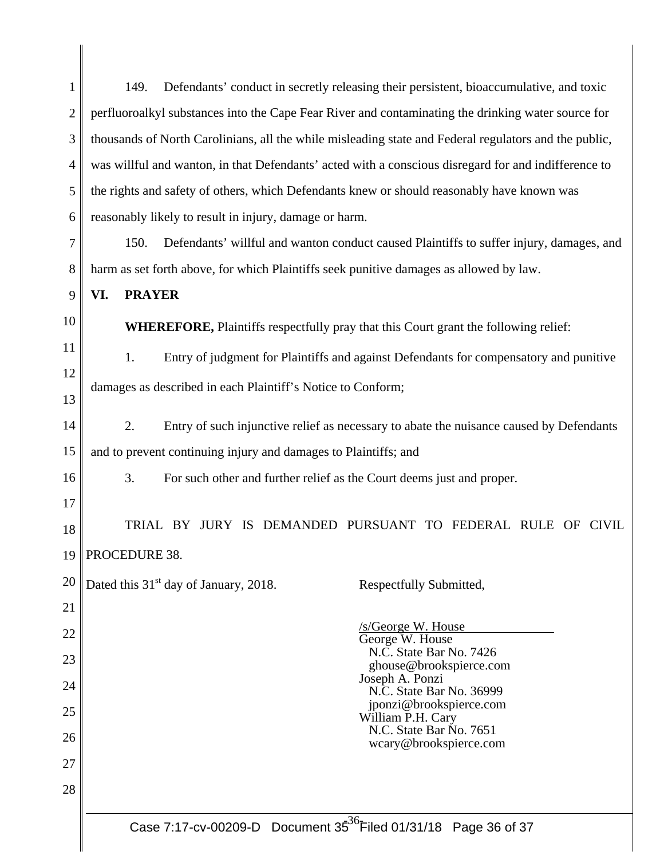| $\mathbf{1}$   | Defendants' conduct in secretly releasing their persistent, bioaccumulative, and toxic<br>149.        |  |  |
|----------------|-------------------------------------------------------------------------------------------------------|--|--|
| $\overline{2}$ | perfluoroalkyl substances into the Cape Fear River and contaminating the drinking water source for    |  |  |
| 3              | thousands of North Carolinians, all the while misleading state and Federal regulators and the public, |  |  |
| 4              | was willful and wanton, in that Defendants' acted with a conscious disregard for and indifference to  |  |  |
| 5              | the rights and safety of others, which Defendants knew or should reasonably have known was            |  |  |
| 6              | reasonably likely to result in injury, damage or harm.                                                |  |  |
| 7              | Defendants' willful and wanton conduct caused Plaintiffs to suffer injury, damages, and<br>150.       |  |  |
| 8              | harm as set forth above, for which Plaintiffs seek punitive damages as allowed by law.                |  |  |
| 9              | <b>PRAYER</b><br>VI.                                                                                  |  |  |
| 10             | <b>WHEREFORE, Plaintiffs respectfully pray that this Court grant the following relief:</b>            |  |  |
| 11             | Entry of judgment for Plaintiffs and against Defendants for compensatory and punitive<br>1.           |  |  |
| 12             | damages as described in each Plaintiff's Notice to Conform;                                           |  |  |
| 13             |                                                                                                       |  |  |
| 14             | Entry of such injunctive relief as necessary to abate the nuisance caused by Defendants<br>2.         |  |  |
| 15             | and to prevent continuing injury and damages to Plaintiffs; and                                       |  |  |
| 16             | 3.<br>For such other and further relief as the Court deems just and proper.                           |  |  |
| 17             |                                                                                                       |  |  |
| 18             | TRIAL BY JURY IS DEMANDED PURSUANT TO FEDERAL RULE OF CIVIL                                           |  |  |
| 19             | PROCEDURE 38.                                                                                         |  |  |
| 20             | Dated this 31 <sup>st</sup> day of January, 2018.<br>Respectfully Submitted,                          |  |  |
| 21             |                                                                                                       |  |  |
| 22             | /s/George W. House<br>George W. House<br>N.C. State Bar No. 7426                                      |  |  |
| 23             | ghouse@brookspierce.com<br>Joseph A. Ponzi                                                            |  |  |
| 24             | N.C. State Bar No. 36999<br>jponzi@brookspierce.com                                                   |  |  |
| 25             | William P.H. Cary<br>N.C. State Bar No. 7651                                                          |  |  |
| 26             | wcary@brookspierce.com                                                                                |  |  |
| 27             |                                                                                                       |  |  |
| 28             |                                                                                                       |  |  |
|                | Case 7:17-cv-00209-D Document 35 <sup>36</sup> Filed 01/31/18 Page 36 of 37                           |  |  |

║